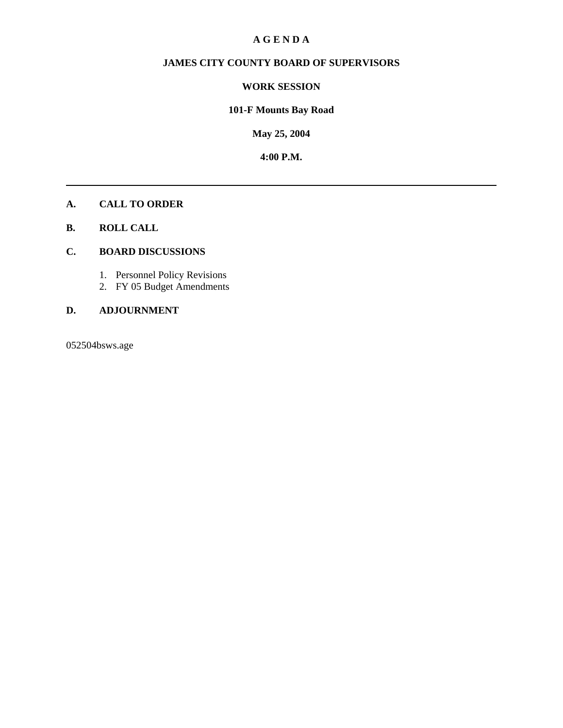#### **A G E N D A**

### **JAMES CITY COUNTY BOARD OF SUPERVISORS**

#### **WORK SESSION**

### **101-F Mounts Bay Road**

**May 25, 2004**

**4:00 P.M.**

#### **A. CALL TO ORDER**

**B. ROLL CALL**

#### **C. BOARD DISCUSSIONS**

- 1. Personnel Policy Revisions
- 2. FY 05 Budget Amendments

### **D. ADJOURNMENT**

052504bsws.age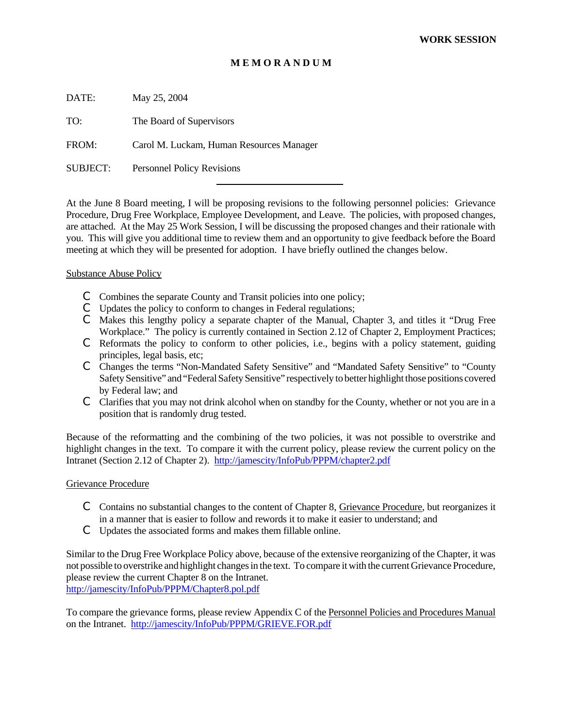#### **M E M O R A N D U M**

DATE: May 25, 2004

TO: The Board of Supervisors

FROM: Carol M. Luckam, Human Resources Manager

SUBJECT: Personnel Policy Revisions

At the June 8 Board meeting, I will be proposing revisions to the following personnel policies: Grievance Procedure, Drug Free Workplace, Employee Development, and Leave. The policies, with proposed changes, are attached. At the May 25 Work Session, I will be discussing the proposed changes and their rationale with you. This will give you additional time to review them and an opportunity to give feedback before the Board meeting at which they will be presented for adoption. I have briefly outlined the changes below.

#### Substance Abuse Policy

- C Combines the separate County and Transit policies into one policy;
- C Updates the policy to conform to changes in Federal regulations;

l

- C Makes this lengthy policy a separate chapter of the Manual, Chapter 3, and titles it "Drug Free Workplace." The policy is currently contained in Section 2.12 of Chapter 2, Employment Practices;
- $\mathbb C$  Reformats the policy to conform to other policies, i.e., begins with a policy statement, guiding principles, legal basis, etc;
- C Changes the terms "Non-Mandated Safety Sensitive" and "Mandated Safety Sensitive" to "County Safety Sensitive" and "Federal Safety Sensitive" respectively to better highlight those positions covered by Federal law; and
- $\degree$  Clarifies that you may not drink alcohol when on standby for the County, whether or not you are in a position that is randomly drug tested.

Because of the reformatting and the combining of the two policies, it was not possible to overstrike and highlight changes in the text. To compare it with the current policy, please review the current policy on the Intranet (Section 2.12 of Chapter 2). http://jamescity/InfoPub/PPPM/chapter2.pdf

#### Grievance Procedure

- $\mathbb C$  Contains no substantial changes to the content of Chapter 8, Grievance Procedure, but reorganizes it in a manner that is easier to follow and rewords it to make it easier to understand; and
- C Updates the associated forms and makes them fillable online.

Similar to the Drug Free Workplace Policy above, because of the extensive reorganizing of the Chapter, it was not possible to overstrike and highlight changes in the text. To compare it with the current Grievance Procedure, please review the current Chapter 8 on the Intranet. http://jamescity/InfoPub/PPPM/Chapter8.pol.pdf

To compare the grievance forms, please review Appendix C of the Personnel Policies and Procedures Manual on the Intranet. http://jamescity/InfoPub/PPPM/GRIEVE.FOR.pdf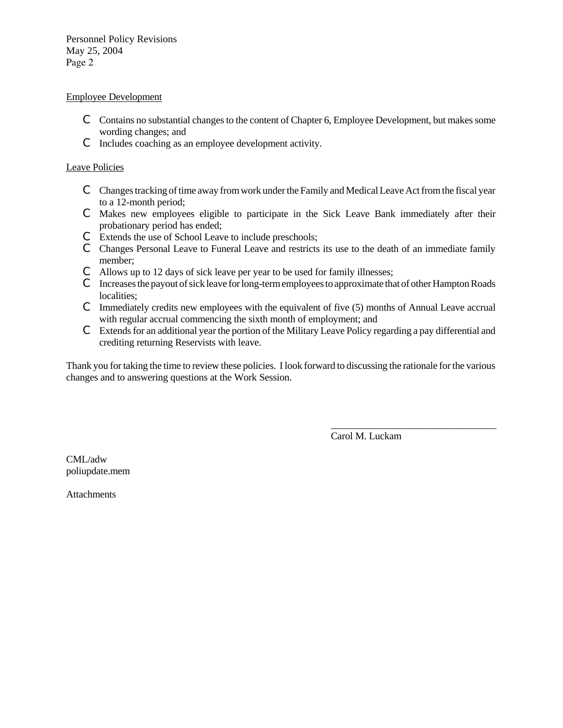Personnel Policy Revisions May 25, 2004 Page 2

#### Employee Development

- C Contains no substantial changes to the content of Chapter 6, Employee Development, but makes some wording changes; and
- C Includes coaching as an employee development activity.

#### Leave Policies

- C Changes tracking of time away from work under the Family and Medical Leave Act from the fiscal year to a 12-month period;
- C Makes new employees eligible to participate in the Sick Leave Bank immediately after their probationary period has ended;
- C Extends the use of School Leave to include preschools;
- C Changes Personal Leave to Funeral Leave and restricts its use to the death of an immediate family member;
- C Allows up to 12 days of sick leave per year to be used for family illnesses;
- C Increases the payout of sick leave for long-term employees to approximate that of other Hampton Roads localities;
- $\mathbb C$  Immediately credits new employees with the equivalent of five (5) months of Annual Leave accrual with regular accrual commencing the sixth month of employment; and
- C Extends for an additional year the portion of the Military Leave Policy regarding a pay differential and crediting returning Reservists with leave.

Thank you for taking the time to review these policies. I look forward to discussing the rationale for the various changes and to answering questions at the Work Session.

Carol M. Luckam

\_\_\_\_\_\_\_\_\_\_\_\_\_\_\_\_\_\_\_\_\_\_\_\_\_\_\_\_\_\_\_\_\_\_

CML/adw poliupdate.mem

**Attachments**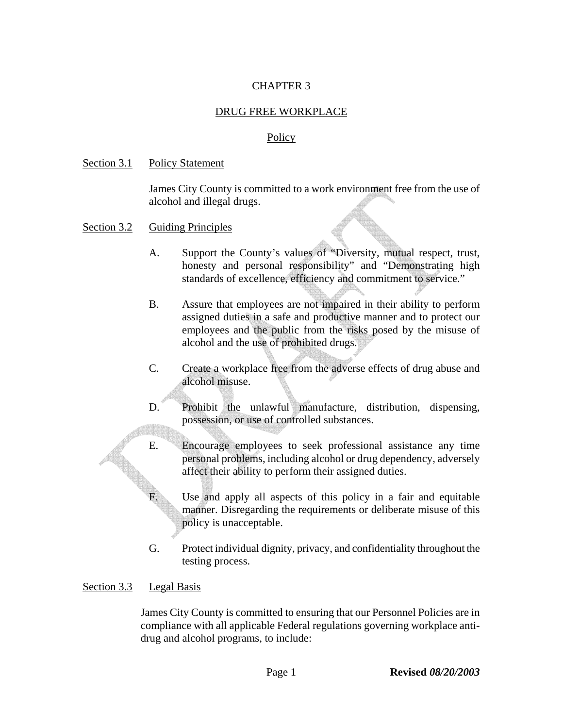# CHAPTER 3

### DRUG FREE WORKPLACE

#### Policy

#### Section 3.1 Policy Statement

James City County is committed to a work environment free from the use of alcohol and illegal drugs.

- Section 3.2 Guiding Principles
	- A. Support the County's values of "Diversity, mutual respect, trust, honesty and personal responsibility" and "Demonstrating high standards of excellence, efficiency and commitment to service."
	- B. Assure that employees are not impaired in their ability to perform assigned duties in a safe and productive manner and to protect our employees and the public from the risks posed by the misuse of alcohol and the use of prohibited drugs.
	- C. Create a workplace free from the adverse effects of drug abuse and alcohol misuse.
	- D. Prohibit the unlawful manufacture, distribution, dispensing, possession, or use of controlled substances.
	- E. Encourage employees to seek professional assistance any time personal problems, including alcohol or drug dependency, adversely affect their ability to perform their assigned duties.

F. Use and apply all aspects of this policy in a fair and equitable manner. Disregarding the requirements or deliberate misuse of this policy is unacceptable.

G. Protect individual dignity, privacy, and confidentiality throughout the testing process.

### Section 3.3 Legal Basis

James City County is committed to ensuring that our Personnel Policies are in compliance with all applicable Federal regulations governing workplace antidrug and alcohol programs, to include: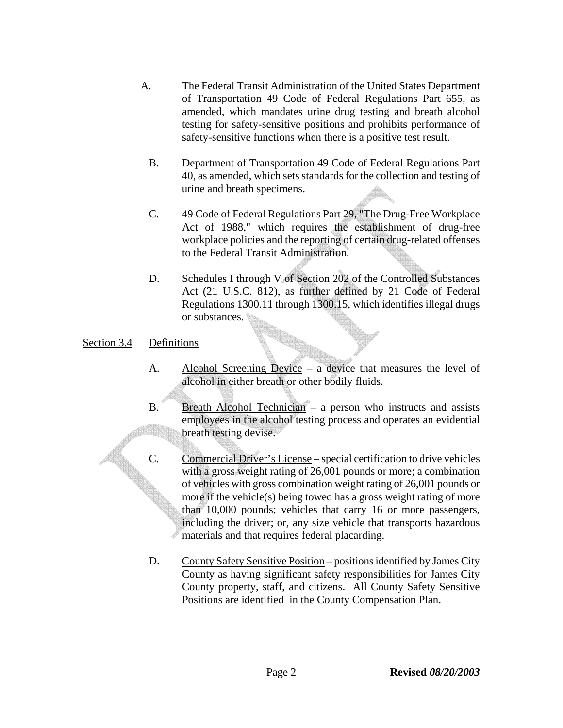- A. The Federal Transit Administration of the United States Department of Transportation 49 Code of Federal Regulations Part 655, as amended, which mandates urine drug testing and breath alcohol testing for safety-sensitive positions and prohibits performance of safety-sensitive functions when there is a positive test result.
	- B. Department of Transportation 49 Code of Federal Regulations Part 40, as amended, which sets standards for the collection and testing of urine and breath specimens.
	- C. 49 Code of Federal Regulations Part 29, "The Drug-Free Workplace Act of 1988," which requires the establishment of drug-free workplace policies and the reporting of certain drug-related offenses to the Federal Transit Administration.
	- D. Schedules I through V of Section 202 of the Controlled Substances Act (21 U.S.C. 812), as further defined by 21 Code of Federal Regulations 1300.11 through 1300.15, which identifies illegal drugs or substances.

# Section 3.4 Definitions

- A. Alcohol Screening Device a device that measures the level of alcohol in either breath or other bodily fluids.
- B. Breath Alcohol Technician a person who instructs and assists employees in the alcohol testing process and operates an evidential breath testing devise.
- C. Commercial Driver's License special certification to drive vehicles with a gross weight rating of 26,001 pounds or more; a combination of vehicles with gross combination weight rating of 26,001 pounds or more if the vehicle(s) being towed has a gross weight rating of more than 10,000 pounds; vehicles that carry 16 or more passengers, including the driver; or, any size vehicle that transports hazardous materials and that requires federal placarding.
	- D. County Safety Sensitive Position positions identified by James City County as having significant safety responsibilities for James City County property, staff, and citizens. All County Safety Sensitive Positions are identified in the County Compensation Plan.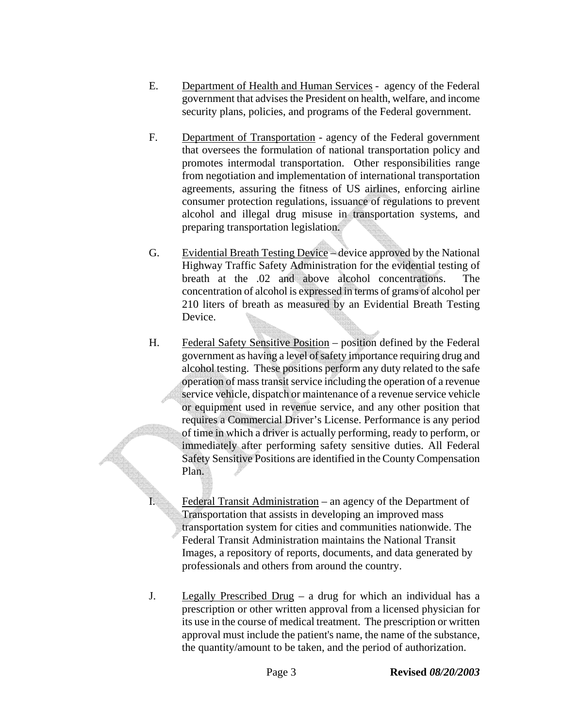- E. Department of Health and Human Services agency of the Federal government that advises the President on health, welfare, and income security plans, policies, and programs of the Federal government.
- F. Department of Transportation agency of the Federal government that oversees the formulation of national transportation policy and promotes intermodal transportation. Other responsibilities range from negotiation and implementation of international transportation agreements, assuring the fitness of US airlines, enforcing airline consumer protection regulations, issuance of regulations to prevent alcohol and illegal drug misuse in transportation systems, and preparing transportation legislation.
- G. Evidential Breath Testing Device device approved by the National Highway Traffic Safety Administration for the evidential testing of breath at the .02 and above alcohol concentrations. The concentration of alcohol is expressed in terms of grams of alcohol per 210 liters of breath as measured by an Evidential Breath Testing Device.
- H. Federal Safety Sensitive Position position defined by the Federal government as having a level of safety importance requiring drug and alcohol testing. These positions perform any duty related to the safe operation of mass transit service including the operation of a revenue service vehicle, dispatch or maintenance of a revenue service vehicle or equipment used in revenue service, and any other position that requires a Commercial Driver's License. Performance is any period of time in which a driver is actually performing, ready to perform, or immediately after performing safety sensitive duties. All Federal Safety Sensitive Positions are identified in the County Compensation Plan.

I. Federal Transit Administration – an agency of the Department of Transportation that assists in developing an improved mass transportation system for cities and communities nationwide. The Federal Transit Administration maintains the National Transit Images, a repository of reports, documents, and data generated by professionals and others from around the country.

J. Legally Prescribed Drug – a drug for which an individual has a prescription or other written approval from a licensed physician for its use in the course of medical treatment. The prescription or written approval must include the patient's name, the name of the substance, the quantity/amount to be taken, and the period of authorization.

Page 3 **Revised** *08/20/2003*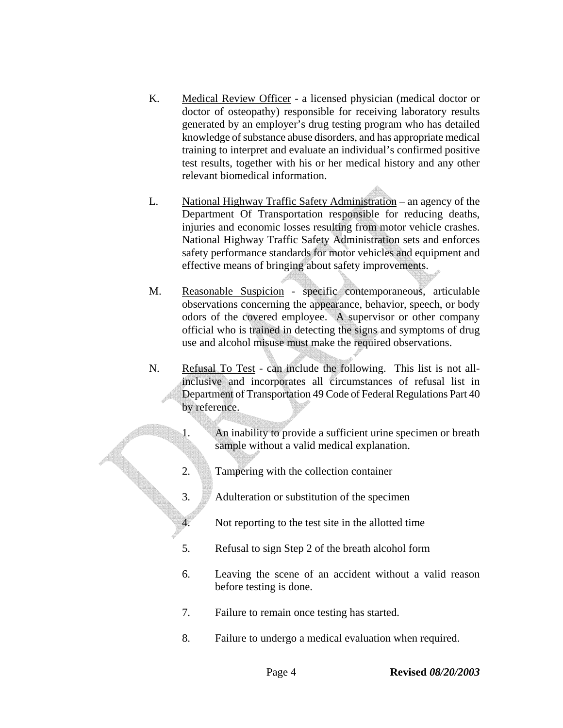- K. Medical Review Officer a licensed physician (medical doctor or doctor of osteopathy) responsible for receiving laboratory results generated by an employer's drug testing program who has detailed knowledge of substance abuse disorders, and has appropriate medical training to interpret and evaluate an individual's confirmed positive test results, together with his or her medical history and any other relevant biomedical information.
- L. National Highway Traffic Safety Administration an agency of the Department Of Transportation responsible for reducing deaths, injuries and economic losses resulting from motor vehicle crashes. National Highway Traffic Safety Administration sets and enforces safety performance standards for motor vehicles and equipment and effective means of bringing about safety improvements.
- M. Reasonable Suspicion specific contemporaneous, articulable observations concerning the appearance, behavior, speech, or body odors of the covered employee. A supervisor or other company official who is trained in detecting the signs and symptoms of drug use and alcohol misuse must make the required observations.
- N. Refusal To Test can include the following. This list is not allinclusive and incorporates all circumstances of refusal list in Department of Transportation 49 Code of Federal Regulations Part 40 by reference.
	- 1. An inability to provide a sufficient urine specimen or breath sample without a valid medical explanation.
	- 2. Tampering with the collection container
	- 3. Adulteration or substitution of the specimen
	- 4. Not reporting to the test site in the allotted time
	- 5. Refusal to sign Step 2 of the breath alcohol form
	- 6. Leaving the scene of an accident without a valid reason before testing is done.
	- 7. Failure to remain once testing has started.
	- 8. Failure to undergo a medical evaluation when required.

Page 4 **Revised** *08/20/2003*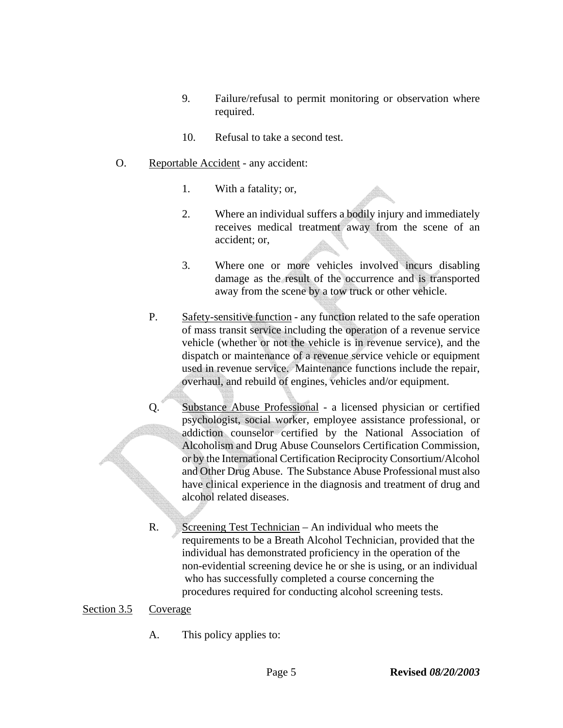- 9. Failure/refusal to permit monitoring or observation where required.
- 10. Refusal to take a second test.
- O. Reportable Accident any accident:
	- 1. With a fatality; or,
	- 2. Where an individual suffers a bodily injury and immediately receives medical treatment away from the scene of an accident; or,
	- 3. Where one or more vehicles involved incurs disabling damage as the result of the occurrence and is transported away from the scene by a tow truck or other vehicle.
	- P. Safety-sensitive function any function related to the safe operation of mass transit service including the operation of a revenue service vehicle (whether or not the vehicle is in revenue service), and the dispatch or maintenance of a revenue service vehicle or equipment used in revenue service. Maintenance functions include the repair, overhaul, and rebuild of engines, vehicles and/or equipment.
	- Q. Substance Abuse Professional a licensed physician or certified psychologist, social worker, employee assistance professional, or addiction counselor certified by the National Association of Alcoholism and Drug Abuse Counselors Certification Commission, or by the International Certification Reciprocity Consortium/Alcohol and Other Drug Abuse. The Substance Abuse Professional must also have clinical experience in the diagnosis and treatment of drug and alcohol related diseases.
	- R. Screening Test Technician An individual who meets the requirements to be a Breath Alcohol Technician, provided that the individual has demonstrated proficiency in the operation of the non-evidential screening device he or she is using, or an individual who has successfully completed a course concerning the procedures required for conducting alcohol screening tests.

### Section 3.5 Coverage

A. This policy applies to: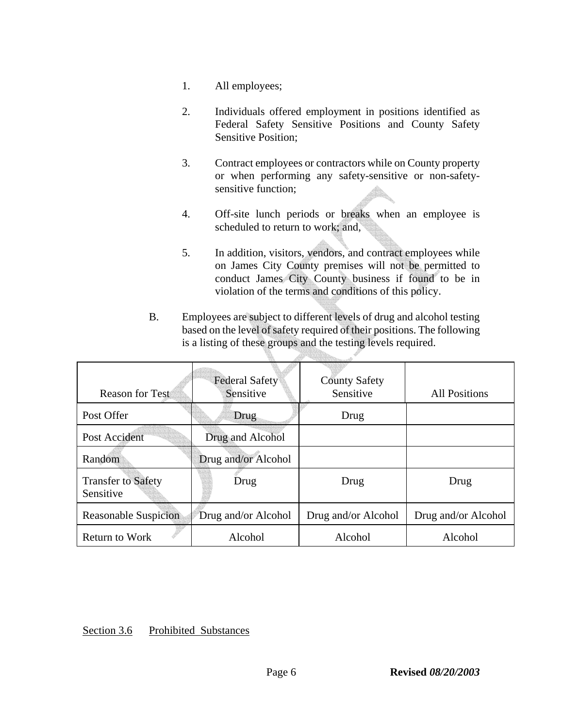- 1. All employees;
- 2. Individuals offered employment in positions identified as Federal Safety Sensitive Positions and County Safety Sensitive Position;
- 3. Contract employees or contractors while on County property or when performing any safety-sensitive or non-safetysensitive function;
- 4. Off-site lunch periods or breaks when an employee is scheduled to return to work; and,
- 5. In addition, visitors, vendors, and contract employees while on James City County premises will not be permitted to conduct James City County business if found to be in violation of the terms and conditions of this policy.
- B. Employees are subject to different levels of drug and alcohol testing based on the level of safety required of their positions. The following is a listing of these groups and the testing levels required.

| <b>Reason for Test</b>                 | <b>Federal Safety</b><br>Sensitive | <b>County Safety</b><br>Sensitive | <b>All Positions</b> |
|----------------------------------------|------------------------------------|-----------------------------------|----------------------|
| Post Offer                             | Drug                               | Drug                              |                      |
| Post Accident                          | Drug and Alcohol                   |                                   |                      |
| Random                                 | Drug and/or Alcohol                |                                   |                      |
| <b>Transfer to Safety</b><br>Sensitive | Drug                               | Drug                              | Drug                 |
| <b>Reasonable Suspicion</b>            | Drug and/or Alcohol                | Drug and/or Alcohol               | Drug and/or Alcohol  |
| <b>Return to Work</b>                  | Alcohol                            | Alcohol                           | Alcohol              |

### Section 3.6 Prohibited Substances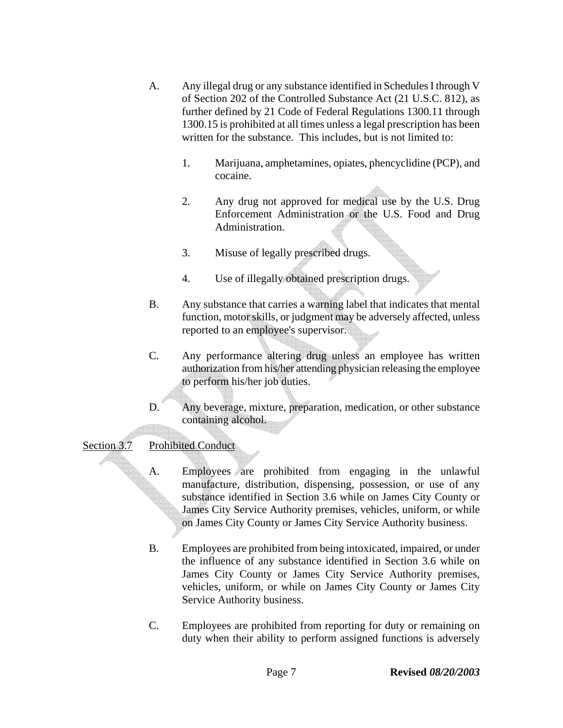- A. Any illegal drug or any substance identified in Schedules I through V of Section 202 of the Controlled Substance Act (21 U.S.C. 812), as further defined by 21 Code of Federal Regulations 1300.11 through 1300.15 is prohibited at all times unless a legal prescription has been written for the substance. This includes, but is not limited to:
	- 1. Marijuana, amphetamines, opiates, phencyclidine (PCP), and cocaine.
	- 2. Any drug not approved for medical use by the U.S. Drug Enforcement Administration or the U.S. Food and Drug Administration.
	- 3. Misuse of legally prescribed drugs.
	- 4. Use of illegally obtained prescription drugs.
- B. Any substance that carries a warning label that indicates that mental function, motor skills, or judgment may be adversely affected, unless reported to an employee's supervisor.
- C. Any performance altering drug unless an employee has written authorization from his/her attending physician releasing the employee to perform his/her job duties.
- D. Any beverage, mixture, preparation, medication, or other substance containing alcohol.

# Section 3.7 Prohibited Conduct

- A. Employees are prohibited from engaging in the unlawful manufacture, distribution, dispensing, possession, or use of any substance identified in Section 3.6 while on James City County or James City Service Authority premises, vehicles*,* uniform, or while on James City County or James City Service Authority business.
- B. Employees are prohibited from being intoxicated, impaired, or under the influence of any substance identified in Section 3.6 while on James City County or James City Service Authority premises, vehicles*,* uniform, or while on James City County or James City Service Authority business.
- C. Employees are prohibited from reporting for duty or remaining on duty when their ability to perform assigned functions is adversely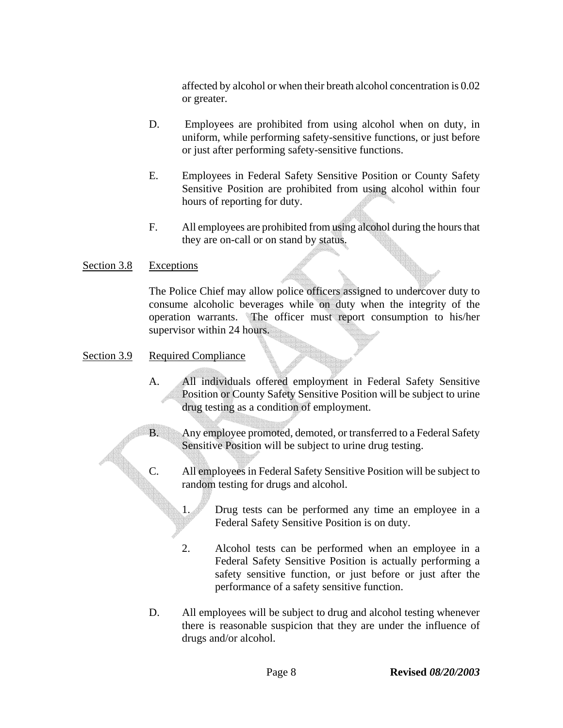affected by alcohol or when their breath alcohol concentration is 0.02 or greater.

- D. Employees are prohibited from using alcohol when on duty, in uniform, while performing safety-sensitive functions, or just before or just after performing safety-sensitive functions.
- E. Employees in Federal Safety Sensitive Position or County Safety Sensitive Position are prohibited from using alcohol within four hours of reporting for duty.
- F. All employees are prohibited from using alcohol during the hours that they are on-call or on stand by status.

### Section 3.8 Exceptions

The Police Chief may allow police officers assigned to undercover duty to consume alcoholic beverages while on duty when the integrity of the operation warrants. The officer must report consumption to his/her supervisor within 24 hours.

### Section 3.9 Required Compliance

- A. All individuals offered employment in Federal Safety Sensitive Position or County Safety Sensitive Position will be subject to urine drug testing as a condition of employment.
- B. Any employee promoted, demoted, or transferred to a Federal Safety Sensitive Position will be subject to urine drug testing.
- C. All employees in Federal Safety Sensitive Position will be subject to random testing for drugs and alcohol.
	- 1. Drug tests can be performed any time an employee in a Federal Safety Sensitive Position is on duty.
	- 2. Alcohol tests can be performed when an employee in a Federal Safety Sensitive Position is actually performing a safety sensitive function, or just before or just after the performance of a safety sensitive function.
- D. All employees will be subject to drug and alcohol testing whenever there is reasonable suspicion that they are under the influence of drugs and/or alcohol.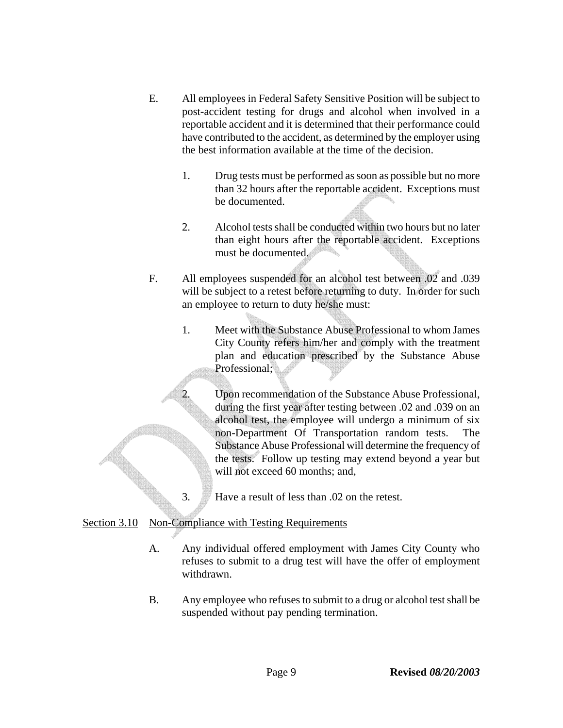- E. All employees in Federal Safety Sensitive Position will be subject to post-accident testing for drugs and alcohol when involved in a reportable accident and it is determined that their performance could have contributed to the accident, as determined by the employer using the best information available at the time of the decision.
	- 1. Drug tests must be performed as soon as possible but no more than 32 hours after the reportable accident. Exceptions must be documented.
	- 2. Alcohol tests shall be conducted within two hours but no later than eight hours after the reportable accident. Exceptions must be documented.
- F. All employees suspended for an alcohol test between .02 and .039 will be subject to a retest before returning to duty. In order for such an employee to return to duty he/she must:
	- 1. Meet with the Substance Abuse Professional to whom James City County refers him/her and comply with the treatment plan and education prescribed by the Substance Abuse Professional;

2. Upon recommendation of the Substance Abuse Professional, during the first year after testing between .02 and .039 on an alcohol test, the employee will undergo a minimum of six non-Department Of Transportation random tests. The Substance Abuse Professional will determine the frequency of the tests. Follow up testing may extend beyond a year but will not exceed 60 months; and,

3. Have a result of less than .02 on the retest.

# Section 3.10 Non-Compliance with Testing Requirements

- A. Any individual offered employment with James City County who refuses to submit to a drug test will have the offer of employment withdrawn.
- B. Any employee who refuses to submit to a drug or alcohol test shall be suspended without pay pending termination.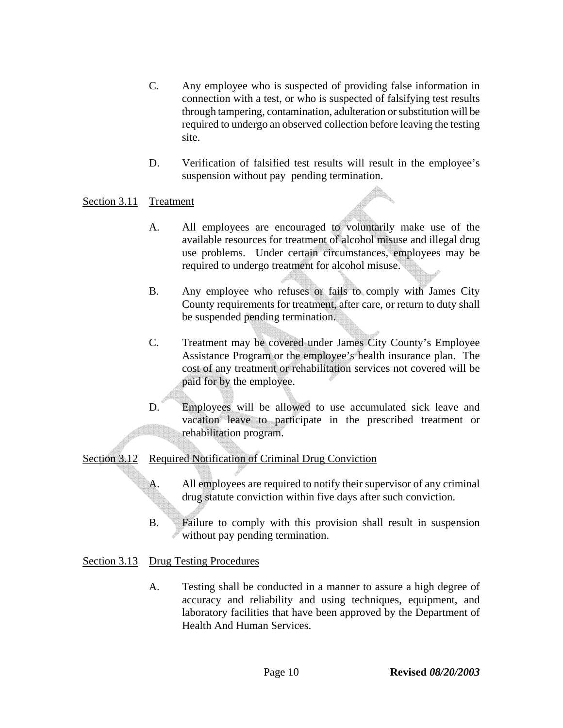- C. Any employee who is suspected of providing false information in connection with a test, or who is suspected of falsifying test results through tampering, contamination, adulteration or substitution will be required to undergo an observed collection before leaving the testing site.
- D. Verification of falsified test results will result in the employee's suspension without pay pending termination.

### Section 3.11 Treatment

- A. All employees are encouraged to voluntarily make use of the available resources for treatment of alcohol misuse and illegal drug use problems. Under certain circumstances, employees may be required to undergo treatment for alcohol misuse.
- B. Any employee who refuses or fails to comply with James City County requirements for treatment, after care, or return to duty shall be suspended pending termination.
- C. Treatment may be covered under James City County's Employee Assistance Program or the employee's health insurance plan. The cost of any treatment or rehabilitation services not covered will be paid for by the employee.
- D. Employees will be allowed to use accumulated sick leave and vacation leave to participate in the prescribed treatment or rehabilitation program.

### Section 3.12 Required Notification of Criminal Drug Conviction

- A. All employees are required to notify their supervisor of any criminal drug statute conviction within five days after such conviction.
- B. Failure to comply with this provision shall result in suspension without pay pending termination.

### Section 3.13 Drug Testing Procedures

A. Testing shall be conducted in a manner to assure a high degree of accuracy and reliability and using techniques, equipment, and laboratory facilities that have been approved by the Department of Health And Human Services.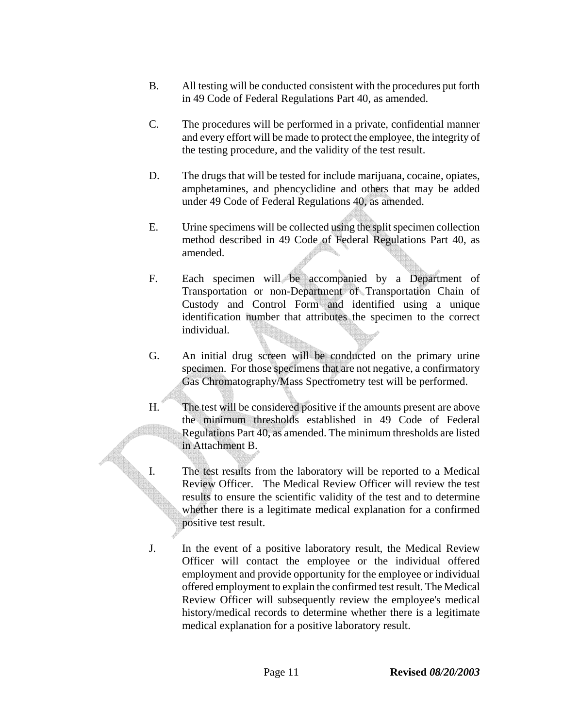- B. All testing will be conducted consistent with the procedures put forth in 49 Code of Federal Regulations Part 40, as amended.
- C. The procedures will be performed in a private, confidential manner and every effort will be made to protect the employee, the integrity of the testing procedure, and the validity of the test result.
- D. The drugs that will be tested for include marijuana, cocaine, opiates, amphetamines, and phencyclidine and others that may be added under 49 Code of Federal Regulations 40, as amended.
- E. Urine specimens will be collected using the split specimen collection method described in 49 Code of Federal Regulations Part 40, as amended.
- F. Each specimen will be accompanied by a Department of Transportation or non-Department of Transportation Chain of Custody and Control Form and identified using a unique identification number that attributes the specimen to the correct individual.
- G. An initial drug screen will be conducted on the primary urine specimen. For those specimens that are not negative, a confirmatory Gas Chromatography/Mass Spectrometry test will be performed.
- H. The test will be considered positive if the amounts present are above the minimum thresholds established in 49 Code of Federal Regulations Part 40, as amended. The minimum thresholds are listed in Attachment B.
- I. The test results from the laboratory will be reported to a Medical Review Officer. The Medical Review Officer will review the test results to ensure the scientific validity of the test and to determine whether there is a legitimate medical explanation for a confirmed positive test result.
- J. In the event of a positive laboratory result, the Medical Review Officer will contact the employee or the individual offered employment and provide opportunity for the employee or individual offered employment to explain the confirmed test result. The Medical Review Officer will subsequently review the employee's medical history/medical records to determine whether there is a legitimate medical explanation for a positive laboratory result.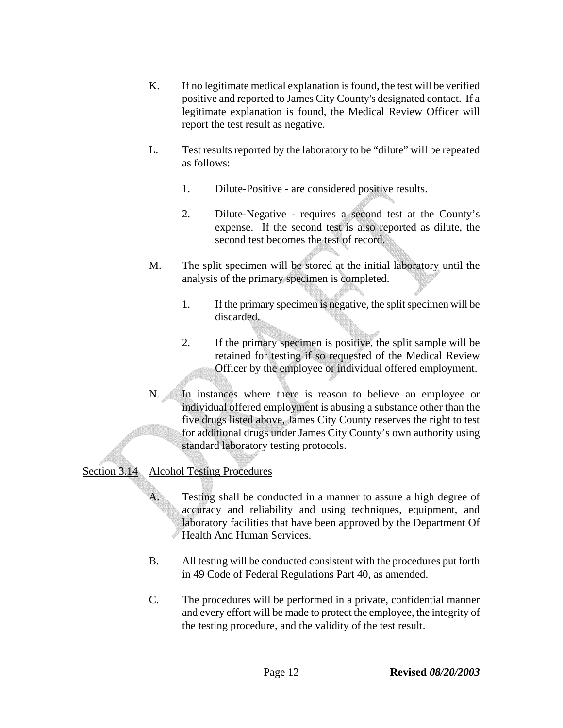- K. If no legitimate medical explanation is found, the test will be verified positive and reported to James City County's designated contact. If a legitimate explanation is found, the Medical Review Officer will report the test result as negative.
- L. Test results reported by the laboratory to be "dilute" will be repeated as follows:
	- 1. Dilute-Positive are considered positive results.
	- 2. Dilute-Negative requires a second test at the County's expense. If the second test is also reported as dilute, the second test becomes the test of record.
- M. The split specimen will be stored at the initial laboratory until the analysis of the primary specimen is completed.
	- 1. If the primary specimen is negative, the split specimen will be discarded.
	- 2. If the primary specimen is positive, the split sample will be retained for testing if so requested of the Medical Review Officer by the employee or individual offered employment.
- N. In instances where there is reason to believe an employee or individual offered employment is abusing a substance other than the five drugs listed above, James City County reserves the right to test for additional drugs under James City County's own authority using standard laboratory testing protocols.

# Section 3.14 Alcohol Testing Procedures

 A. Testing shall be conducted in a manner to assure a high degree of accuracy and reliability and using techniques, equipment, and laboratory facilities that have been approved by the Department Of Health And Human Services.

- B. All testing will be conducted consistent with the procedures put forth in 49 Code of Federal Regulations Part 40, as amended.
- C. The procedures will be performed in a private, confidential manner and every effort will be made to protect the employee, the integrity of the testing procedure, and the validity of the test result.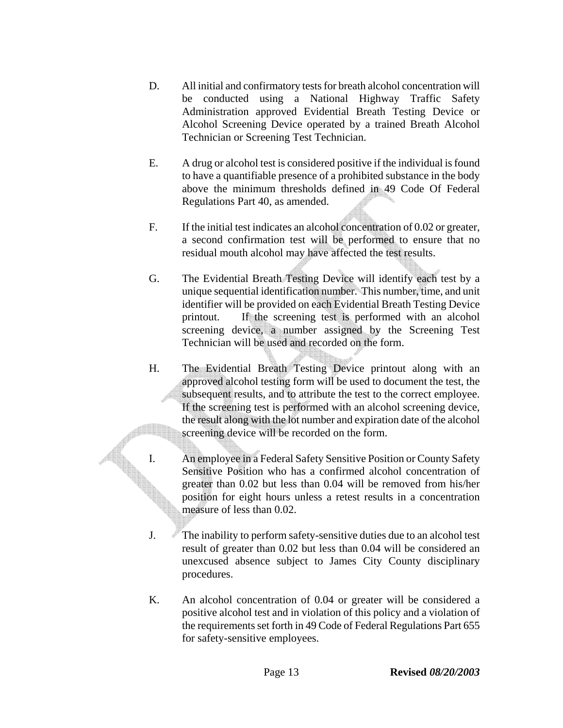- D. All initial and confirmatory tests for breath alcohol concentration will be conducted using a National Highway Traffic Safety Administration approved Evidential Breath Testing Device or Alcohol Screening Device operated by a trained Breath Alcohol Technician or Screening Test Technician.
- E. A drug or alcohol test is considered positive if the individual is found to have a quantifiable presence of a prohibited substance in the body above the minimum thresholds defined in 49 Code Of Federal Regulations Part 40, as amended.
- F. If the initial test indicates an alcohol concentration of 0.02 or greater, a second confirmation test will be performed to ensure that no residual mouth alcohol may have affected the test results.
- G. The Evidential Breath Testing Device will identify each test by a unique sequential identification number. This number, time, and unit identifier will be provided on each Evidential Breath Testing Device printout. If the screening test is performed with an alcohol screening device, a number assigned by the Screening Test Technician will be used and recorded on the form.
- H. The Evidential Breath Testing Device printout along with an approved alcohol testing form will be used to document the test, the subsequent results, and to attribute the test to the correct employee. If the screening test is performed with an alcohol screening device, the result along with the lot number and expiration date of the alcohol screening device will be recorded on the form.
- I. An employee in a Federal Safety Sensitive Position or County Safety Sensitive Position who has a confirmed alcohol concentration of greater than 0.02 but less than 0.04 will be removed from his/her position for eight hours unless a retest results in a concentration measure of less than 0.02.
- J. The inability to perform safety-sensitive duties due to an alcohol test result of greater than 0.02 but less than 0.04 will be considered an unexcused absence subject to James City County disciplinary procedures.
- K. An alcohol concentration of 0.04 or greater will be considered a positive alcohol test and in violation of this policy and a violation of the requirements set forth in 49 Code of Federal Regulations Part 655 for safety-sensitive employees.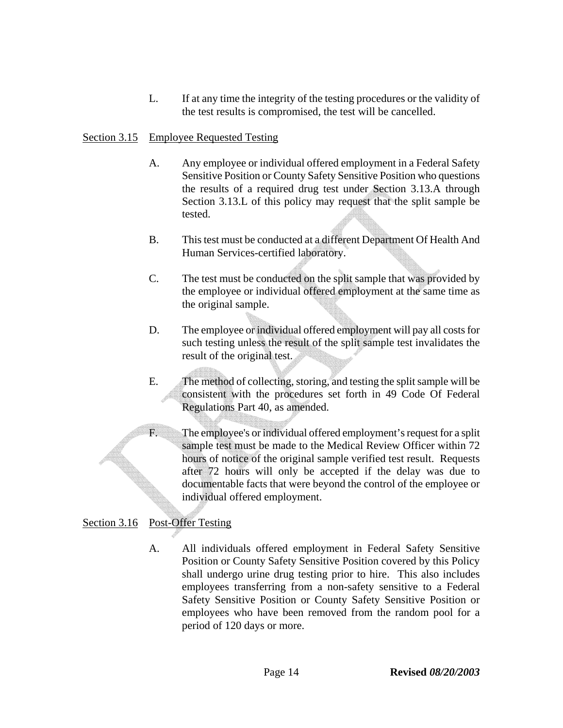L. If at any time the integrity of the testing procedures or the validity of the test results is compromised, the test will be cancelled.

### Section 3.15 Employee Requested Testing

- A. Any employee or individual offered employment in a Federal Safety Sensitive Position or County Safety Sensitive Position who questions the results of a required drug test under Section 3.13.A through Section 3.13.L of this policy may request that the split sample be tested.
- B. This test must be conducted at a different Department Of Health And Human Services-certified laboratory.
- C. The test must be conducted on the split sample that was provided by the employee or individual offered employment at the same time as the original sample.
- D. The employee or individual offered employment will pay all costs for such testing unless the result of the split sample test invalidates the result of the original test.
- E. The method of collecting, storing, and testing the split sample will be consistent with the procedures set forth in 49 Code Of Federal Regulations Part 40, as amended.
- F. The employee's or individual offered employment's request for a split sample test must be made to the Medical Review Officer within 72 hours of notice of the original sample verified test result. Requests after 72 hours will only be accepted if the delay was due to documentable facts that were beyond the control of the employee or individual offered employment.

# Section 3.16 Post-Offer Testing

A. All individuals offered employment in Federal Safety Sensitive Position or County Safety Sensitive Position covered by this Policy shall undergo urine drug testing prior to hire. This also includes employees transferring from a non-safety sensitive to a Federal Safety Sensitive Position or County Safety Sensitive Position or employees who have been removed from the random pool for a period of 120 days or more.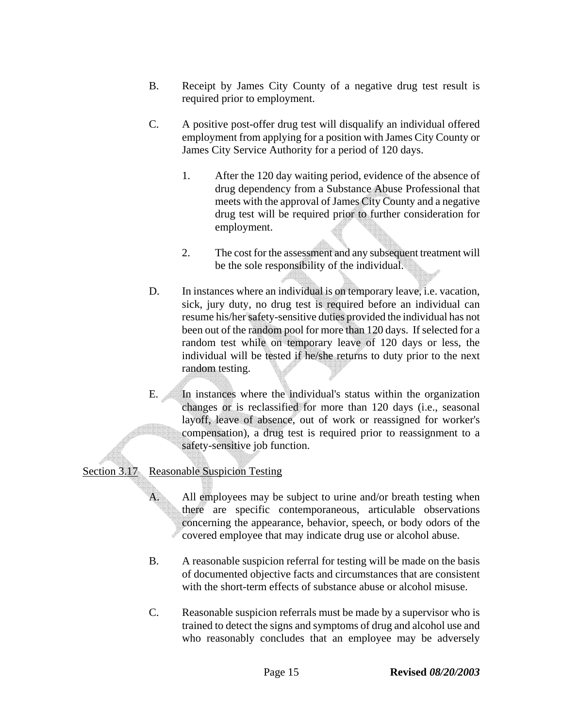- B. Receipt by James City County of a negative drug test result is required prior to employment.
- C. A positive post-offer drug test will disqualify an individual offered employment from applying for a position with James City County or James City Service Authority for a period of 120 days.
	- 1. After the 120 day waiting period, evidence of the absence of drug dependency from a Substance Abuse Professional that meets with the approval of James City County and a negative drug test will be required prior to further consideration for employment.
	- 2. The cost for the assessment and any subsequent treatment will be the sole responsibility of the individual.
- D. In instances where an individual is on temporary leave, i.e. vacation, sick, jury duty, no drug test is required before an individual can resume his/her safety-sensitive duties provided the individual has not been out of the random pool for more than 120 days. If selected for a random test while on temporary leave of 120 days or less, the individual will be tested if he/she returns to duty prior to the next random testing.
- E. In instances where the individual's status within the organization changes or is reclassified for more than 120 days (i.e., seasonal layoff, leave of absence, out of work or reassigned for worker's compensation), a drug test is required prior to reassignment to a safety-sensitive job function.

# Section 3.17 Reasonable Suspicion Testing

A. All employees may be subject to urine and/or breath testing when there are specific contemporaneous, articulable observations concerning the appearance, behavior, speech, or body odors of the covered employee that may indicate drug use or alcohol abuse.

- B. A reasonable suspicion referral for testing will be made on the basis of documented objective facts and circumstances that are consistent with the short-term effects of substance abuse or alcohol misuse.
- C. Reasonable suspicion referrals must be made by a supervisor who is trained to detect the signs and symptoms of drug and alcohol use and who reasonably concludes that an employee may be adversely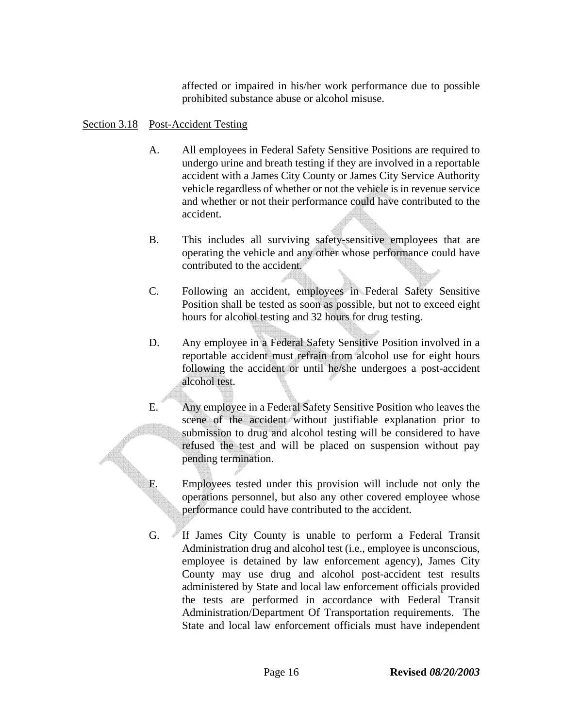affected or impaired in his/her work performance due to possible prohibited substance abuse or alcohol misuse.

### Section 3.18 Post-Accident Testing

- A. All employees in Federal Safety Sensitive Positions are required to undergo urine and breath testing if they are involved in a reportable accident with a James City County or James City Service Authority vehicle regardless of whether or not the vehicle is in revenue service and whether or not their performance could have contributed to the accident.
- B. This includes all surviving safety-sensitive employees that are operating the vehicle and any other whose performance could have contributed to the accident.
- C. Following an accident, employees in Federal Safety Sensitive Position shall be tested as soon as possible, but not to exceed eight hours for alcohol testing and 32 hours for drug testing.
- D. Any employee in a Federal Safety Sensitive Position involved in a reportable accident must refrain from alcohol use for eight hours following the accident or until he/she undergoes a post-accident alcohol test.
- E. Any employee in a Federal Safety Sensitive Position who leaves the scene of the accident without justifiable explanation prior to submission to drug and alcohol testing will be considered to have refused the test and will be placed on suspension without pay pending termination.
- F. Employees tested under this provision will include not only the operations personnel, but also any other covered employee whose performance could have contributed to the accident.
- G. If James City County is unable to perform a Federal Transit Administration drug and alcohol test (i.e., employee is unconscious, employee is detained by law enforcement agency), James City County may use drug and alcohol post-accident test results administered by State and local law enforcement officials provided the tests are performed in accordance with Federal Transit Administration/Department Of Transportation requirements. The State and local law enforcement officials must have independent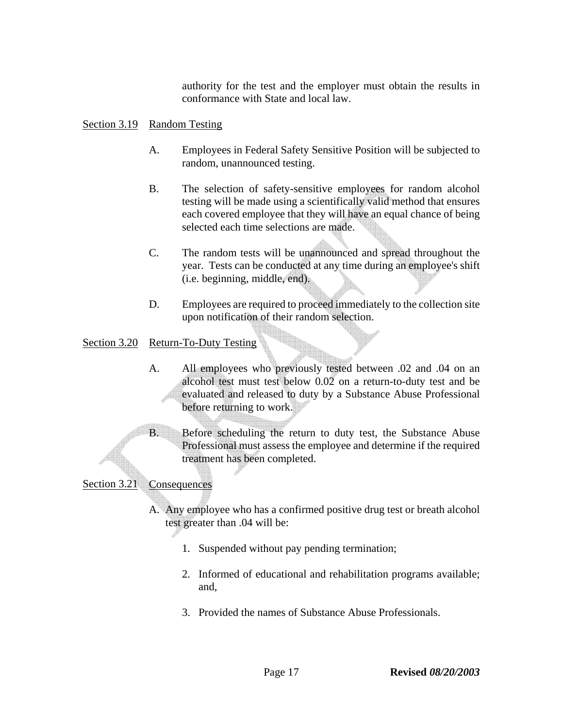authority for the test and the employer must obtain the results in conformance with State and local law.

### Section 3.19 Random Testing

- A. Employees in Federal Safety Sensitive Position will be subjected to random, unannounced testing.
- B. The selection of safety-sensitive employees for random alcohol testing will be made using a scientifically valid method that ensures each covered employee that they will have an equal chance of being selected each time selections are made.
- C. The random tests will be unannounced and spread throughout the year. Tests can be conducted at any time during an employee's shift (i.e. beginning, middle, end).
- D. Employees are required to proceed immediately to the collection site upon notification of their random selection.

### Section 3.20 Return-To-Duty Testing

- A. All employees who previously tested between .02 and .04 on an alcohol test must test below 0.02 on a return-to-duty test and be evaluated and released to duty by a Substance Abuse Professional before returning to work.
- B. Before scheduling the return to duty test, the Substance Abuse Professional must assess the employee and determine if the required treatment has been completed.

Section 3.21 Consequences

- A. Any employee who has a confirmed positive drug test or breath alcohol test greater than .04 will be:
	- 1. Suspended without pay pending termination;
	- 2. Informed of educational and rehabilitation programs available; and,
	- 3. Provided the names of Substance Abuse Professionals.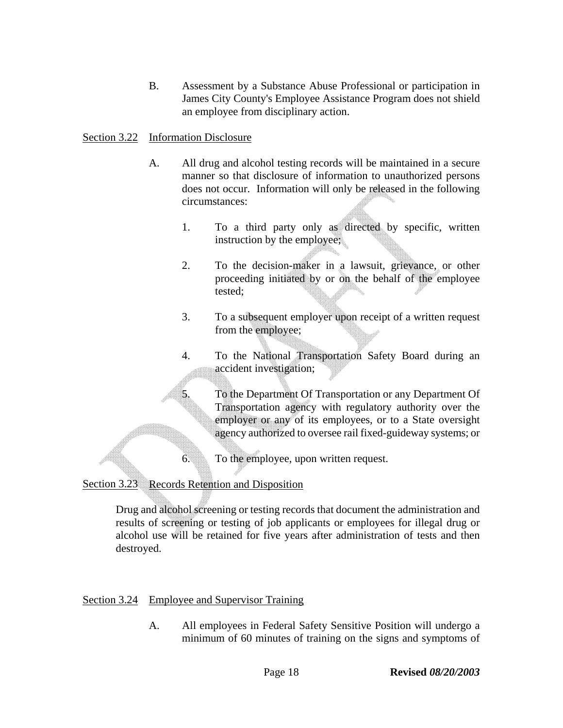B. Assessment by a Substance Abuse Professional or participation in James City County's Employee Assistance Program does not shield an employee from disciplinary action.

### Section 3.22 Information Disclosure

- A. All drug and alcohol testing records will be maintained in a secure manner so that disclosure of information to unauthorized persons does not occur. Information will only be released in the following circumstances:
	- 1. To a third party only as directed by specific, written instruction by the employee;
	- 2. To the decision-maker in a lawsuit, grievance, or other proceeding initiated by or on the behalf of the employee tested;
	- 3. To a subsequent employer upon receipt of a written request from the employee;
	- 4. To the National Transportation Safety Board during an accident investigation;
	- 5. To the Department Of Transportation or any Department Of Transportation agency with regulatory authority over the employer or any of its employees, or to a State oversight agency authorized to oversee rail fixed-guideway systems; or
	- 6. To the employee, upon written request.

### Section 3.23 Records Retention and Disposition

Drug and alcohol screening or testing records that document the administration and results of screening or testing of job applicants or employees for illegal drug or alcohol use will be retained for five years after administration of tests and then destroyed.

### Section 3.24 Employee and Supervisor Training

A. All employees in Federal Safety Sensitive Position will undergo a minimum of 60 minutes of training on the signs and symptoms of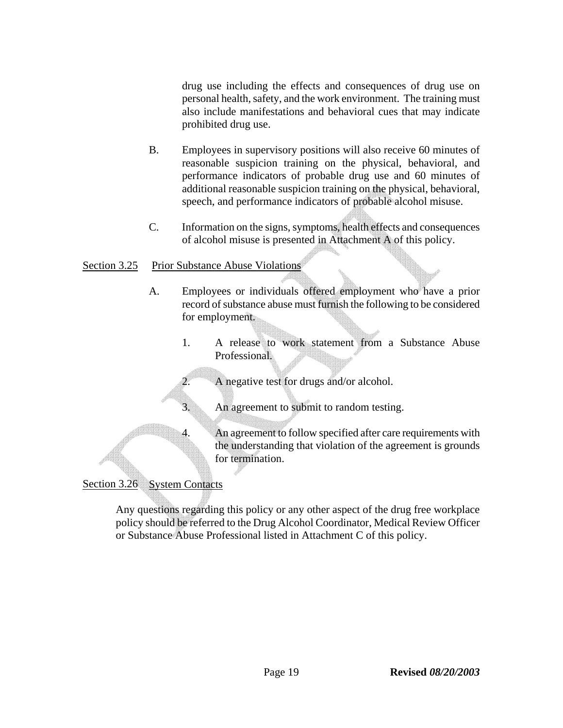drug use including the effects and consequences of drug use on personal health, safety, and the work environment. The training must also include manifestations and behavioral cues that may indicate prohibited drug use.

- B. Employees in supervisory positions will also receive 60 minutes of reasonable suspicion training on the physical, behavioral, and performance indicators of probable drug use and 60 minutes of additional reasonable suspicion training on the physical, behavioral, speech, and performance indicators of probable alcohol misuse.
- C. Information on the signs, symptoms, health effects and consequences of alcohol misuse is presented in Attachment A of this policy.

### Section 3.25 Prior Substance Abuse Violations

- A. Employees or individuals offered employment who have a prior record of substance abuse must furnish the following to be considered for employment.
	- 1. A release to work statement from a Substance Abuse Professional.

A negative test for drugs and/or alcohol.

3. An agreement to submit to random testing.

4. An agreement to follow specified after care requirements with the understanding that violation of the agreement is grounds for termination.

# Section 3.26 System Contacts

Any questions regarding this policy or any other aspect of the drug free workplace policy should be referred to the Drug Alcohol Coordinator, Medical Review Officer or Substance Abuse Professional listed in Attachment C of this policy.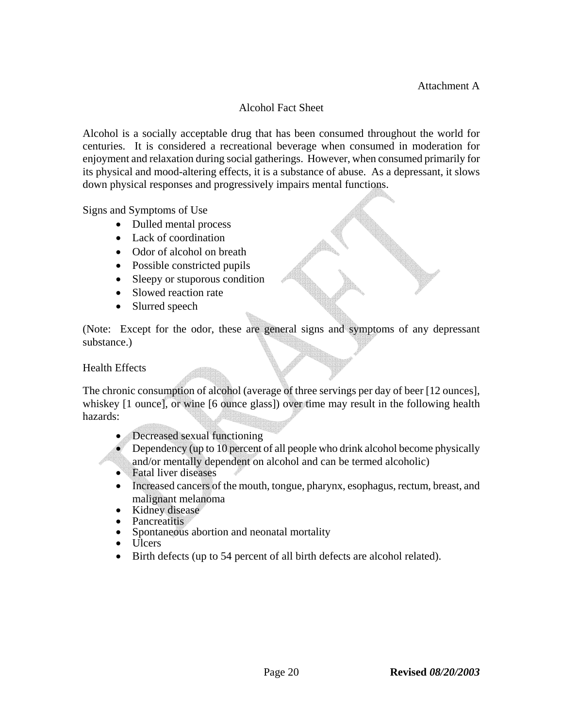# Alcohol Fact Sheet

Alcohol is a socially acceptable drug that has been consumed throughout the world for centuries. It is considered a recreational beverage when consumed in moderation for enjoyment and relaxation during social gatherings. However, when consumed primarily for its physical and mood-altering effects, it is a substance of abuse. As a depressant, it slows down physical responses and progressively impairs mental functions.

Signs and Symptoms of Use

- Dulled mental process
- Lack of coordination
- Odor of alcohol on breath
- Possible constricted pupils
- Sleepy or stuporous condition
- Slowed reaction rate
- Slurred speech

(Note: Except for the odor, these are general signs and symptoms of any depressant substance.)

Health Effects

The chronic consumption of alcohol (average of three servings per day of beer [12 ounces], whiskey [1 ounce], or wine [6 ounce glass]) over time may result in the following health hazards:

- Decreased sexual functioning
- Dependency (up to 10 percent of all people who drink alcohol become physically and/or mentally dependent on alcohol and can be termed alcoholic)
- Fatal liver diseases
- Increased cancers of the mouth, tongue, pharynx, esophagus, rectum, breast, and malignant melanoma<br>• Kidney disease
- 
- 
- Pancreatitis Spontaneous abortion and neonatal mortality Ulcers
- 
- Birth defects (up to 54 percent of all birth defects are alcohol related).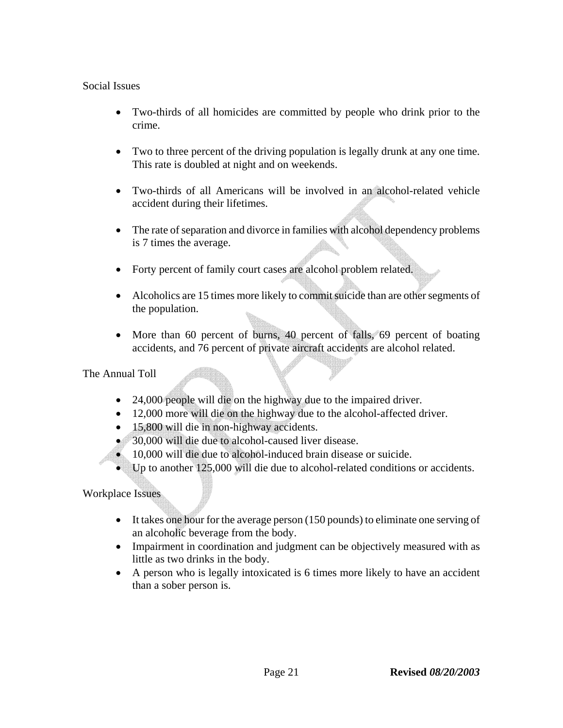### Social Issues

- Two-thirds of all homicides are committed by people who drink prior to the crime.
- Two to three percent of the driving population is legally drunk at any one time. This rate is doubled at night and on weekends.
- Two-thirds of all Americans will be involved in an alcohol-related vehicle accident during their lifetimes.
- The rate of separation and divorce in families with alcohol dependency problems is 7 times the average.
- Forty percent of family court cases are alcohol problem related.
- Alcoholics are 15 times more likely to commit suicide than are other segments of the population.
- More than 60 percent of burns, 40 percent of falls, 69 percent of boating accidents, and 76 percent of private aircraft accidents are alcohol related.

The Annual Toll

- 24,000 people will die on the highway due to the impaired driver.
- 12,000 more will die on the highway due to the alcohol-affected driver.
- 15,800 will die in non-highway accidents.
- 30,000 will die due to alcohol-caused liver disease.
- 10,000 will die due to alcohol-induced brain disease or suicide.
- Up to another 125,000 will die due to alcohol-related conditions or accidents.

Workplace Issues

- It takes one hour for the average person (150 pounds) to eliminate one serving of an alcoholic beverage from the body.
- Impairment in coordination and judgment can be objectively measured with as little as two drinks in the body.
- A person who is legally intoxicated is 6 times more likely to have an accident than a sober person is.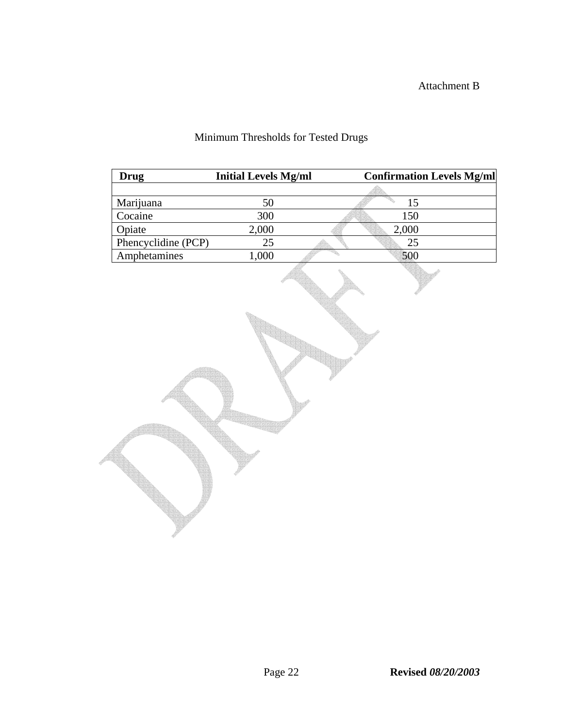# Attachment B

# Minimum Thresholds for Tested Drugs

| <b>Drug</b>         | <b>Initial Levels Mg/ml</b> | <b>Confirmation Levels Mg/ml</b> |  |
|---------------------|-----------------------------|----------------------------------|--|
|                     |                             |                                  |  |
| Marijuana           | 50                          | 15                               |  |
| Cocaine             | 300                         | 150                              |  |
| Opiate              | 2,000                       | 2,000                            |  |
| Phencyclidine (PCP) | 25                          | 25                               |  |
| Amphetamines        | 1,000                       | 500                              |  |
|                     |                             |                                  |  |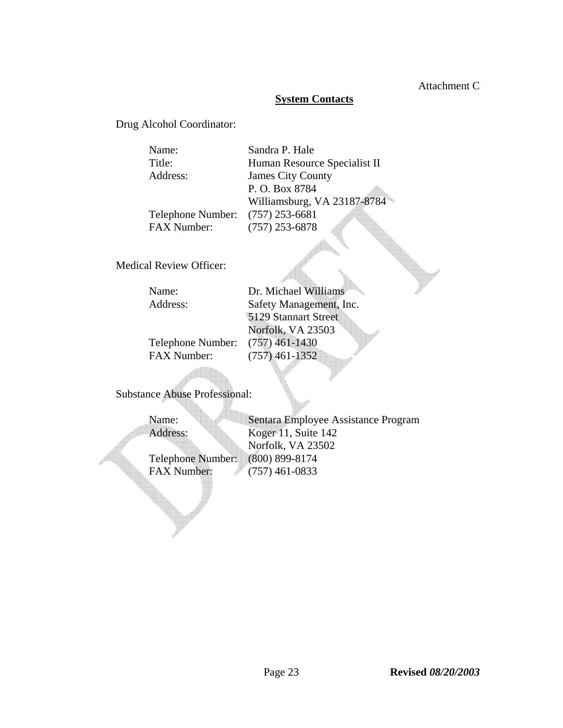### Attachment C

### **System Contacts**

Drug Alcohol Coordinator:

| Name:              | Sandra P. Hale               |
|--------------------|------------------------------|
| Title:             | Human Resource Specialist II |
| Address:           | <b>James City County</b>     |
|                    | P. O. Box 8784               |
|                    | Williamsburg, VA 23187-8784  |
| Telephone Number:  | $(757)$ 253-6681             |
| <b>FAX Number:</b> | $(757)$ 253-6878             |

Medical Review Officer:

| Name:              | Dr. Michael Williams    |
|--------------------|-------------------------|
| Address:           | Safety Management, Inc. |
|                    | 5129 Stannart Street    |
|                    | Norfolk, VA 23503       |
| Telephone Number:  | $(757)$ 461-1430        |
| <b>FAX Number:</b> | $(757)$ 461-1352        |

Substance Abuse Professional:

Name: Sentara Employee Assistance Program Address: Koger 11, Suite 142 Norfolk, VA 23502 Telephone Number: (800) 899-8174<br>FAX Number: (757) 461-0833  $(757)$  461-0833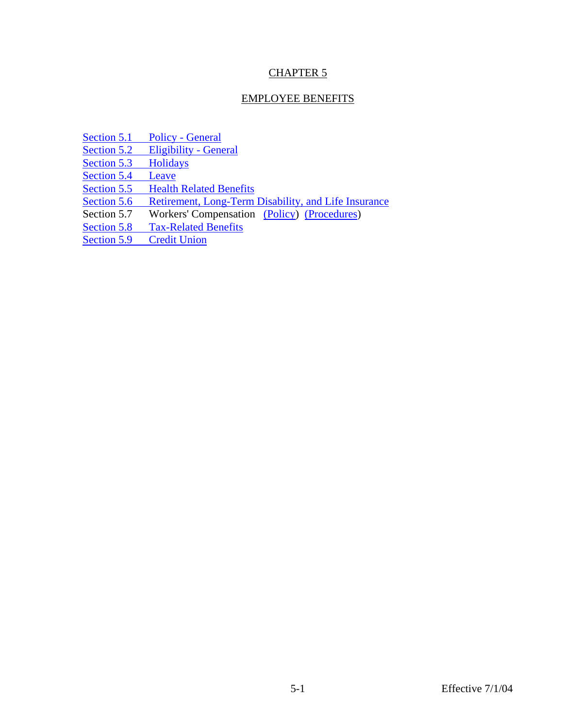# CHAPTER 5

### EMPLOYEE BENEFITS

[Section 5.1 Policy - General](#page-27-0)

[Section 5.2 Eligibility - General](#page-27-0)

[Section 5.3 Holidays](#page-27-0)<br>Section 5.4 Leave

Section 5.4

[Section 5.5 Health Related Benefits](#page-35-0)

[Section 5.6 Retirement, Long-Term Disability, and Life Insurance](#page-37-0)<br>Section 5.7 Workers' Compensation (Policy) (Procedures)

Workers' Compensation (Policy) (Procedures)

[Section 5.8 Tax-Related Benefits](#page-39-0)<br>Section 5.9 Credit Union

Section  $5.9$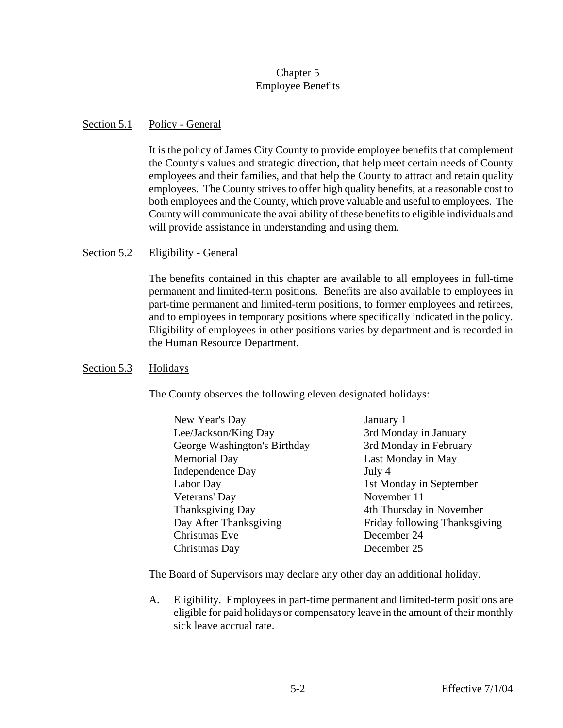### Chapter 5 Employee Benefits

### <span id="page-27-0"></span>Section 5.1 Policy - General

It is the policy of James City County to provide employee benefits that complement the County's values and strategic direction, that help meet certain needs of County employees and their families, and that help the County to attract and retain quality employees. The County strives to offer high quality benefits, at a reasonable cost to both employees and the County, which prove valuable and useful to employees. The County will communicate the availability of these benefits to eligible individuals and will provide assistance in understanding and using them.

### Section 5.2 Eligibility - General

The benefits contained in this chapter are available to all employees in full-time permanent and limited-term positions. Benefits are also available to employees in part-time permanent and limited-term positions, to former employees and retirees, and to employees in temporary positions where specifically indicated in the policy. Eligibility of employees in other positions varies by department and is recorded in the Human Resource Department.

### Section 5.3 Holidays

The County observes the following eleven designated holidays:

| New Year's Day               | January 1                     |
|------------------------------|-------------------------------|
| Lee/Jackson/King Day         | 3rd Monday in January         |
| George Washington's Birthday | 3rd Monday in February        |
| Memorial Day                 | Last Monday in May            |
| <b>Independence Day</b>      | July 4                        |
| Labor Day                    | 1st Monday in September       |
| Veterans' Day                | November 11                   |
| <b>Thanksgiving Day</b>      | 4th Thursday in November      |
| Day After Thanksgiving       | Friday following Thanksgiving |
| Christmas Eve                | December 24                   |
| Christmas Day                | December 25                   |
|                              |                               |

The Board of Supervisors may declare any other day an additional holiday.

A. Eligibility. Employees in part-time permanent and limited-term positions are eligible for paid holidays or compensatory leave in the amount of their monthly sick leave accrual rate.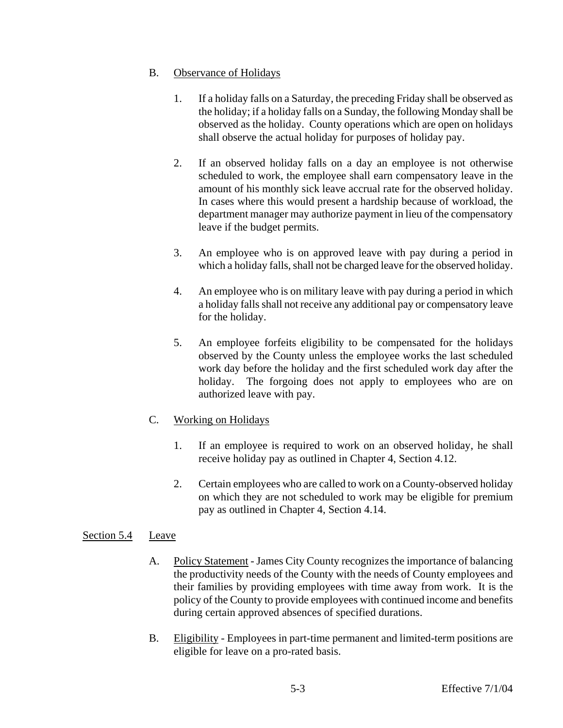### <span id="page-28-0"></span>B. Observance of Holidays

- 1. If a holiday falls on a Saturday, the preceding Friday shall be observed as the holiday; if a holiday falls on a Sunday, the following Monday shall be observed as the holiday. County operations which are open on holidays shall observe the actual holiday for purposes of holiday pay.
- 2. If an observed holiday falls on a day an employee is not otherwise scheduled to work, the employee shall earn compensatory leave in the amount of his monthly sick leave accrual rate for the observed holiday. In cases where this would present a hardship because of workload, the department manager may authorize payment in lieu of the compensatory leave if the budget permits.
- 3. An employee who is on approved leave with pay during a period in which a holiday falls, shall not be charged leave for the observed holiday.
- 4. An employee who is on military leave with pay during a period in which a holiday falls shall not receive any additional pay or compensatory leave for the holiday.
- 5. An employee forfeits eligibility to be compensated for the holidays observed by the County unless the employee works the last scheduled work day before the holiday and the first scheduled work day after the holiday. The forgoing does not apply to employees who are on authorized leave with pay.

# C. Working on Holidays

- 1. If an employee is required to work on an observed holiday, he shall receive holiday pay as outlined in Chapter 4, Section 4.12.
- 2. Certain employees who are called to work on a County-observed holiday on which they are not scheduled to work may be eligible for premium pay as outlined in Chapter 4, Section 4.14.

### Section 5.4 Leave

- A. Policy Statement James City County recognizes the importance of balancing the productivity needs of the County with the needs of County employees and their families by providing employees with time away from work. It is the policy of the County to provide employees with continued income and benefits during certain approved absences of specified durations.
- B. Eligibility Employees in part-time permanent and limited-term positions are eligible for leave on a pro-rated basis.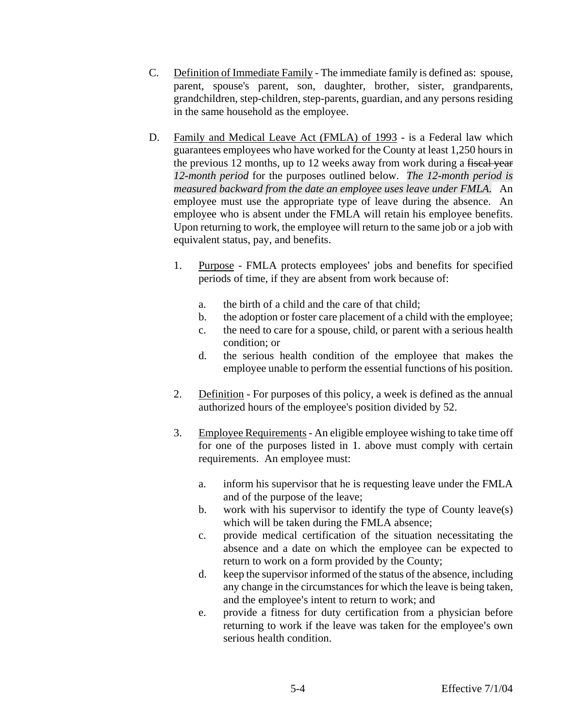- C. Definition of Immediate Family The immediate family is defined as: spouse, parent, spouse's parent, son, daughter, brother, sister, grandparents, grandchildren, step-children, step-parents, guardian, and any persons residing in the same household as the employee.
- D. Family and Medical Leave Act (FMLA) of 1993 is a Federal law which guarantees employees who have worked for the County at least 1,250 hours in the previous 12 months, up to 12 weeks away from work during a fiscal year *12-month period* for the purposes outlined below. *The 12-month period is measured backward from the date an employee uses leave under FMLA.* An employee must use the appropriate type of leave during the absence. An employee who is absent under the FMLA will retain his employee benefits. Upon returning to work, the employee will return to the same job or a job with equivalent status, pay, and benefits.
	- 1. Purpose FMLA protects employees' jobs and benefits for specified periods of time, if they are absent from work because of:
		- a. the birth of a child and the care of that child;
		- b. the adoption or foster care placement of a child with the employee;
		- c. the need to care for a spouse, child, or parent with a serious health condition; or
		- d. the serious health condition of the employee that makes the employee unable to perform the essential functions of his position.
	- 2. Definition For purposes of this policy, a week is defined as the annual authorized hours of the employee's position divided by 52.
	- 3. Employee Requirements An eligible employee wishing to take time off for one of the purposes listed in 1. above must comply with certain requirements. An employee must:
		- a. inform his supervisor that he is requesting leave under the FMLA and of the purpose of the leave;
		- b. work with his supervisor to identify the type of County leave(s) which will be taken during the FMLA absence;
		- c. provide medical certification of the situation necessitating the absence and a date on which the employee can be expected to return to work on a form provided by the County;
		- d. keep the supervisor informed of the status of the absence, including any change in the circumstances for which the leave is being taken, and the employee's intent to return to work; and
		- e. provide a fitness for duty certification from a physician before returning to work if the leave was taken for the employee's own serious health condition.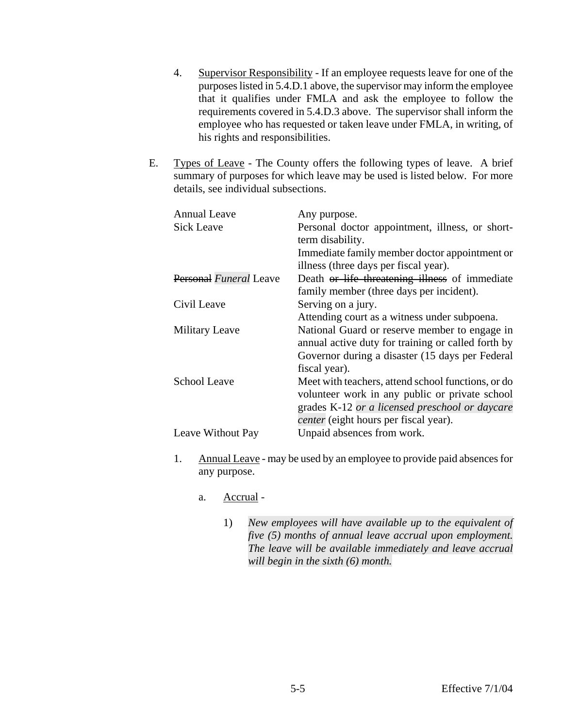- 4. Supervisor Responsibility If an employee requests leave for one of the purposes listed in 5.4.D.1 above, the supervisor may inform the employee that it qualifies under FMLA and ask the employee to follow the requirements covered in 5.4.D.3 above. The supervisor shall inform the employee who has requested or taken leave under FMLA, in writing, of his rights and responsibilities.
- E. Types of Leave The County offers the following types of leave. A brief summary of purposes for which leave may be used is listed below. For more details, see individual subsections.

| <b>Annual Leave</b><br>Sick Leave | Any purpose.<br>Personal doctor appointment, illness, or short-<br>term disability.<br>Immediate family member doctor appointment or<br>illness (three days per fiscal year).                   |
|-----------------------------------|-------------------------------------------------------------------------------------------------------------------------------------------------------------------------------------------------|
| Personal Funeral Leave            | Death or life threatening illness of immediate<br>family member (three days per incident).                                                                                                      |
| Civil Leave                       | Serving on a jury.<br>Attending court as a witness under subpoena.                                                                                                                              |
| <b>Military Leave</b>             | National Guard or reserve member to engage in<br>annual active duty for training or called forth by<br>Governor during a disaster (15 days per Federal<br>fiscal year).                         |
| School Leave                      | Meet with teachers, attend school functions, or do<br>volunteer work in any public or private school<br>grades K-12 or a licensed preschool or daycare<br>center (eight hours per fiscal year). |
| Leave Without Pay                 | Unpaid absences from work.                                                                                                                                                                      |

- 1. Annual Leave may be used by an employee to provide paid absences for any purpose.
	- a. Accrual
		- 1) *New employees will have available up to the equivalent of five (5) months of annual leave accrual upon employment. The leave will be available immediately and leave accrual will begin in the sixth (6) month.*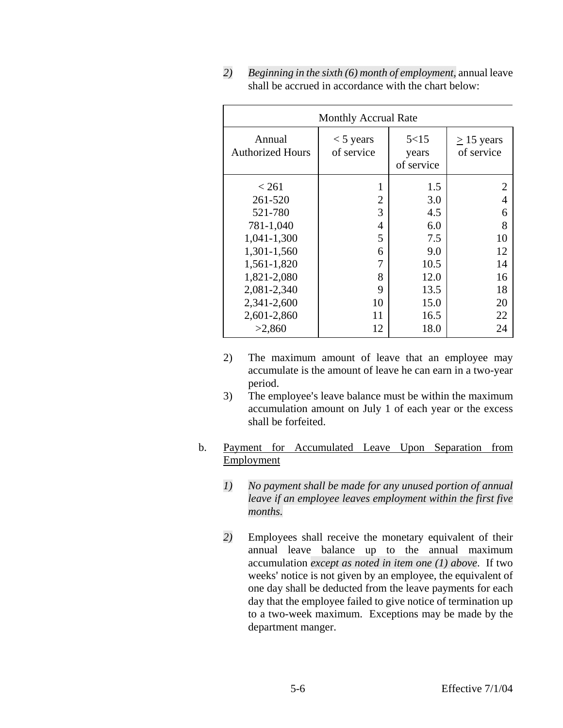|                                   | <b>Monthly Accrual Rate</b> |                             |                            |
|-----------------------------------|-----------------------------|-----------------------------|----------------------------|
| Annual<br><b>Authorized Hours</b> | $<$ 5 years<br>of service   | 5<15<br>years<br>of service | $> 15$ years<br>of service |
| ${}_{<} 261$                      |                             | 1.5                         | 2                          |
| 261-520                           | 2                           | 3.0                         | $\overline{4}$             |
| 521-780                           | 3                           | 4.5                         | 6                          |
| 781-1,040                         | 4                           | 6.0                         | 8                          |
| 1,041-1,300                       | 5                           | 7.5                         | 10                         |
| 1,301-1,560                       | 6                           | 9.0                         | 12                         |
| 1,561-1,820                       | 7                           | 10.5                        | 14                         |
| 1,821-2,080                       | 8                           | 12.0                        | 16                         |
| 2,081-2,340                       | 9                           | 13.5                        | 18                         |
| 2,341-2,600                       | 10                          | 15.0                        | 20                         |
| 2,601-2,860                       | 11                          | 16.5                        | 22                         |
| >2,860                            | 12                          | 18.0                        | 24                         |

*2) Beginning in the sixth (6) month of employment,* annual leave shall be accrued in accordance with the chart below:

- 2) The maximum amount of leave that an employee may accumulate is the amount of leave he can earn in a two-year period.
- 3) The employee's leave balance must be within the maximum accumulation amount on July 1 of each year or the excess shall be forfeited.
- b. Payment for Accumulated Leave Upon Separation from Employment
	- *1) No payment shall be made for any unused portion of annual leave if an employee leaves employment within the first five months.*
	- *2)* Employees shall receive the monetary equivalent of their annual leave balance up to the annual maximum accumulation *except as noted in item one (1) above*. If two weeks' notice is not given by an employee, the equivalent of one day shall be deducted from the leave payments for each day that the employee failed to give notice of termination up to a two-week maximum. Exceptions may be made by the department manger.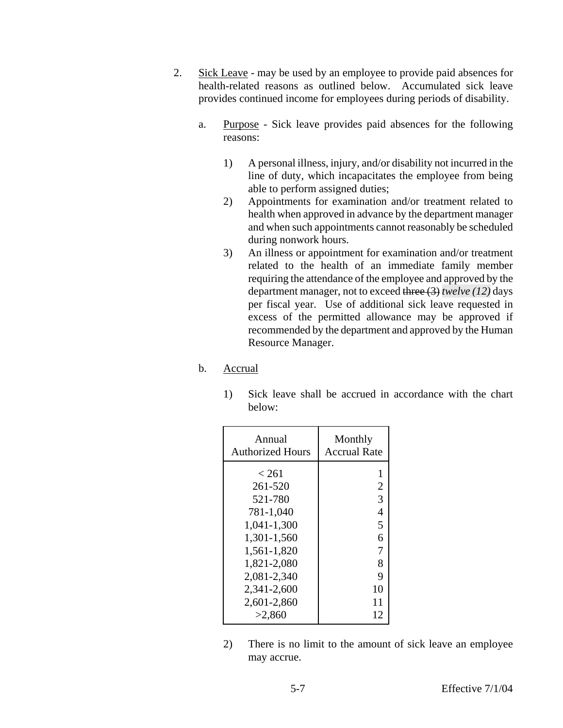- 2. Sick Leave may be used by an employee to provide paid absences for health-related reasons as outlined below. Accumulated sick leave provides continued income for employees during periods of disability.
	- a. Purpose Sick leave provides paid absences for the following reasons:
		- 1) A personal illness, injury, and/or disability not incurred in the line of duty, which incapacitates the employee from being able to perform assigned duties;
		- 2) Appointments for examination and/or treatment related to health when approved in advance by the department manager and when such appointments cannot reasonably be scheduled during nonwork hours.
		- 3) An illness or appointment for examination and/or treatment related to the health of an immediate family member requiring the attendance of the employee and approved by the department manager, not to exceed three (3) *twelve (12)* days per fiscal year. Use of additional sick leave requested in excess of the permitted allowance may be approved if recommended by the department and approved by the Human Resource Manager.
	- b. Accrual
		- 1) Sick leave shall be accrued in accordance with the chart below:

| Annual                                                                                                              | Monthly                                           |
|---------------------------------------------------------------------------------------------------------------------|---------------------------------------------------|
| <b>Authorized Hours</b>                                                                                             | <b>Accrual Rate</b>                               |
| < 261<br>261-520<br>521-780<br>781-1,040<br>1,041-1,300<br>1,301-1,560<br>1,561-1,820<br>1,821-2,080<br>2,081-2,340 | 2<br>3<br>$\overline{4}$<br>5<br>6<br>7<br>8<br>9 |
| 2,341-2,600                                                                                                         | 10                                                |
| 2,601-2,860                                                                                                         | 11                                                |
| >2,860                                                                                                              | 12                                                |

2) There is no limit to the amount of sick leave an employee may accrue.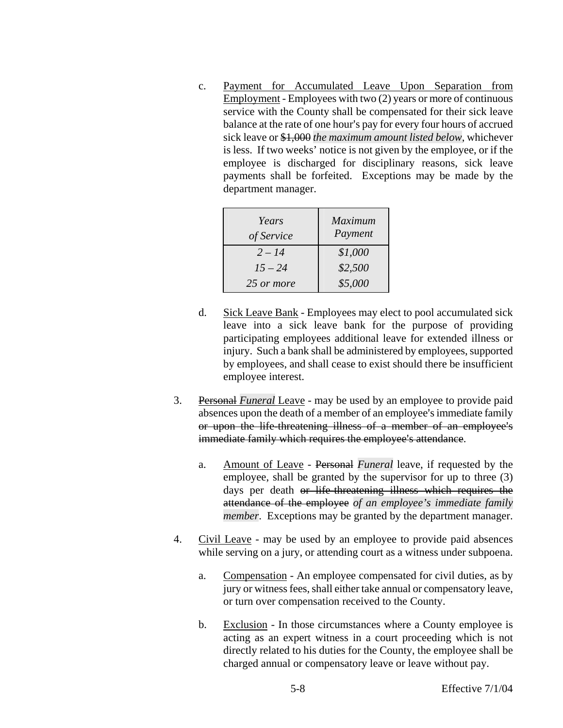c. Payment for Accumulated Leave Upon Separation from Employment - Employees with two (2) years or more of continuous service with the County shall be compensated for their sick leave balance at the rate of one hour's pay for every four hours of accrued sick leave or \$1,000 *the maximum amount listed below*, whichever is less. If two weeks' notice is not given by the employee, or if the employee is discharged for disciplinary reasons, sick leave payments shall be forfeited. Exceptions may be made by the department manager.

| Years<br>of Service | <b>Maximum</b><br>Payment |
|---------------------|---------------------------|
| $2 - 14$            | \$1,000                   |
| $15 - 24$           | \$2,500                   |
| 25 or more          | \$5,000                   |

- d. Sick Leave Bank Employees may elect to pool accumulated sick leave into a sick leave bank for the purpose of providing participating employees additional leave for extended illness or injury. Such a bank shall be administered by employees, supported by employees, and shall cease to exist should there be insufficient employee interest.
- 3. Personal *Funeral* Leave may be used by an employee to provide paid absences upon the death of a member of an employee's immediate family or upon the life-threatening illness of a member of an employee's immediate family which requires the employee's attendance.
	- a. Amount of Leave Personal *Funeral* leave, if requested by the employee, shall be granted by the supervisor for up to three (3) days per death or life-threatening illness which requires the attendance of the employee *of an employee's immediate family member*. Exceptions may be granted by the department manager.
- 4. Civil Leave may be used by an employee to provide paid absences while serving on a jury, or attending court as a witness under subpoena.
	- a. Compensation An employee compensated for civil duties, as by jury or witness fees, shall either take annual or compensatory leave, or turn over compensation received to the County.
	- b. Exclusion In those circumstances where a County employee is acting as an expert witness in a court proceeding which is not directly related to his duties for the County, the employee shall be charged annual or compensatory leave or leave without pay.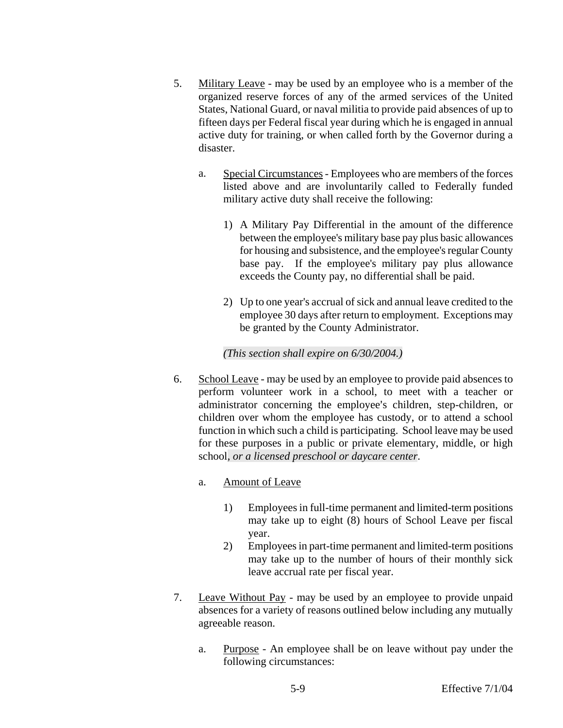- 5. Military Leave may be used by an employee who is a member of the organized reserve forces of any of the armed services of the United States, National Guard, or naval militia to provide paid absences of up to fifteen days per Federal fiscal year during which he is engaged in annual active duty for training, or when called forth by the Governor during a disaster.
	- a. Special Circumstances Employees who are members of the forces listed above and are involuntarily called to Federally funded military active duty shall receive the following:
		- 1) A Military Pay Differential in the amount of the difference between the employee's military base pay plus basic allowances for housing and subsistence, and the employee's regular County base pay. If the employee's military pay plus allowance exceeds the County pay, no differential shall be paid.
		- 2) Up to one year's accrual of sick and annual leave credited to the employee 30 days after return to employment. Exceptions may be granted by the County Administrator.

### *(This section shall expire on 6/30/2004.)*

6. School Leave - may be used by an employee to provide paid absences to perform volunteer work in a school, to meet with a teacher or administrator concerning the employee's children, step-children, or children over whom the employee has custody, or to attend a school function in which such a child is participating. School leave may be used for these purposes in a public or private elementary, middle, or high school*, or a licensed preschool or daycare center*.

### a. Amount of Leave

- 1) Employees in full-time permanent and limited-term positions may take up to eight (8) hours of School Leave per fiscal year.
- 2) Employees in part-time permanent and limited-term positions may take up to the number of hours of their monthly sick leave accrual rate per fiscal year.
- 7. Leave Without Pay may be used by an employee to provide unpaid absences for a variety of reasons outlined below including any mutually agreeable reason.
	- a. Purpose An employee shall be on leave without pay under the following circumstances: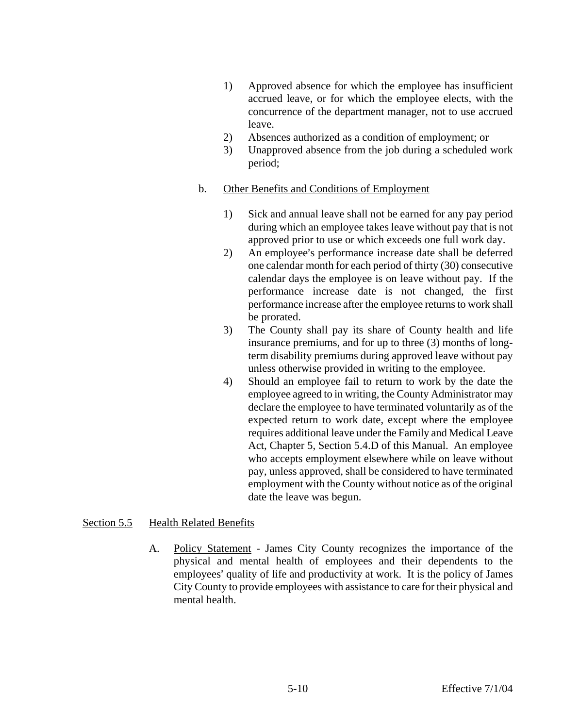- <span id="page-35-0"></span>1) Approved absence for which the employee has insufficient accrued leave, or for which the employee elects, with the concurrence of the department manager, not to use accrued leave.
- 2) Absences authorized as a condition of employment; or
- 3) Unapproved absence from the job during a scheduled work period;
- b. Other Benefits and Conditions of Employment
	- 1) Sick and annual leave shall not be earned for any pay period during which an employee takes leave without pay that is not approved prior to use or which exceeds one full work day.
	- 2) An employee's performance increase date shall be deferred one calendar month for each period of thirty (30) consecutive calendar days the employee is on leave without pay. If the performance increase date is not changed, the first performance increase after the employee returns to work shall be prorated.
	- 3) The County shall pay its share of County health and life insurance premiums, and for up to three (3) months of longterm disability premiums during approved leave without pay unless otherwise provided in writing to the employee.
	- 4) Should an employee fail to return to work by the date the employee agreed to in writing, the County Administrator may declare the employee to have terminated voluntarily as of the expected return to work date, except where the employee requires additional leave under the Family and Medical Leave Act, Chapter 5, Section 5.4.D of this Manual. An employee who accepts employment elsewhere while on leave without pay, unless approved, shall be considered to have terminated employment with the County without notice as of the original date the leave was begun.

### Section 5.5 Health Related Benefits

A. Policy Statement - James City County recognizes the importance of the physical and mental health of employees and their dependents to the employees' quality of life and productivity at work. It is the policy of James City County to provide employees with assistance to care for their physical and mental health.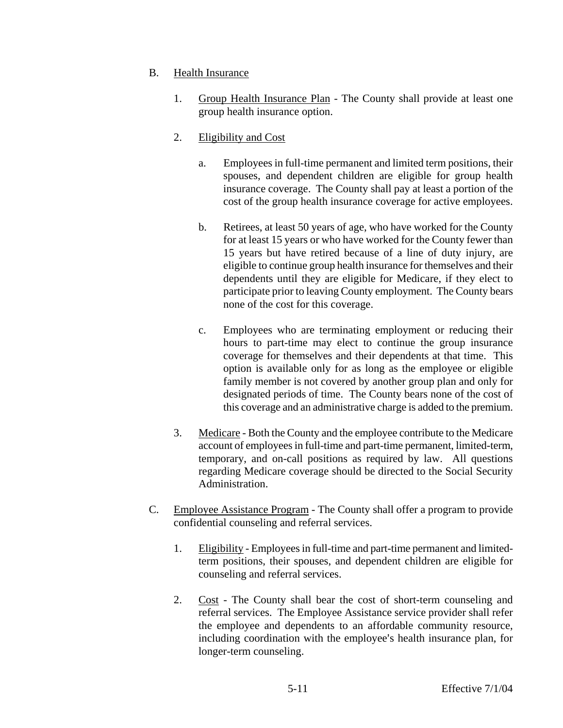- B. Health Insurance
	- 1. Group Health Insurance Plan The County shall provide at least one group health insurance option.
	- 2. Eligibility and Cost
		- a. Employees in full-time permanent and limited term positions, their spouses, and dependent children are eligible for group health insurance coverage. The County shall pay at least a portion of the cost of the group health insurance coverage for active employees.
		- b. Retirees, at least 50 years of age, who have worked for the County for at least 15 years or who have worked for the County fewer than 15 years but have retired because of a line of duty injury, are eligible to continue group health insurance for themselves and their dependents until they are eligible for Medicare, if they elect to participate prior to leaving County employment. The County bears none of the cost for this coverage.
		- c. Employees who are terminating employment or reducing their hours to part-time may elect to continue the group insurance coverage for themselves and their dependents at that time. This option is available only for as long as the employee or eligible family member is not covered by another group plan and only for designated periods of time. The County bears none of the cost of this coverage and an administrative charge is added to the premium.
	- 3. Medicare Both the County and the employee contribute to the Medicare account of employees in full-time and part-time permanent, limited-term, temporary, and on-call positions as required by law. All questions regarding Medicare coverage should be directed to the Social Security Administration.
- C. Employee Assistance Program The County shall offer a program to provide confidential counseling and referral services.
	- 1. Eligibility Employees in full-time and part-time permanent and limitedterm positions, their spouses, and dependent children are eligible for counseling and referral services.
	- 2. Cost The County shall bear the cost of short-term counseling and referral services. The Employee Assistance service provider shall refer the employee and dependents to an affordable community resource, including coordination with the employee's health insurance plan, for longer-term counseling.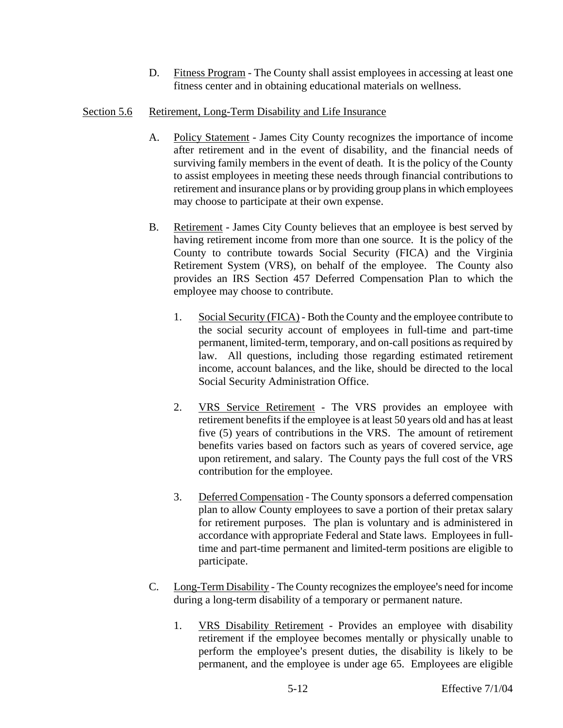D. Fitness Program - The County shall assist employees in accessing at least one fitness center and in obtaining educational materials on wellness.

### <span id="page-37-0"></span>Section 5.6 Retirement, Long-Term Disability and Life Insurance

- A. Policy Statement James City County recognizes the importance of income after retirement and in the event of disability, and the financial needs of surviving family members in the event of death. It is the policy of the County to assist employees in meeting these needs through financial contributions to retirement and insurance plans or by providing group plans in which employees may choose to participate at their own expense.
- B. Retirement James City County believes that an employee is best served by having retirement income from more than one source. It is the policy of the County to contribute towards Social Security (FICA) and the Virginia Retirement System (VRS), on behalf of the employee. The County also provides an IRS Section 457 Deferred Compensation Plan to which the employee may choose to contribute.
	- 1. Social Security (FICA) Both the County and the employee contribute to the social security account of employees in full-time and part-time permanent, limited-term, temporary, and on-call positions as required by law. All questions, including those regarding estimated retirement income, account balances, and the like, should be directed to the local Social Security Administration Office.
	- 2. VRS Service Retirement The VRS provides an employee with retirement benefits if the employee is at least 50 years old and has at least five (5) years of contributions in the VRS. The amount of retirement benefits varies based on factors such as years of covered service, age upon retirement, and salary. The County pays the full cost of the VRS contribution for the employee.
	- 3. Deferred Compensation The County sponsors a deferred compensation plan to allow County employees to save a portion of their pretax salary for retirement purposes. The plan is voluntary and is administered in accordance with appropriate Federal and State laws. Employees in fulltime and part-time permanent and limited-term positions are eligible to participate.
- C. Long-Term Disability The County recognizes the employee's need for income during a long-term disability of a temporary or permanent nature.
	- 1. VRS Disability Retirement Provides an employee with disability retirement if the employee becomes mentally or physically unable to perform the employee's present duties, the disability is likely to be permanent, and the employee is under age 65. Employees are eligible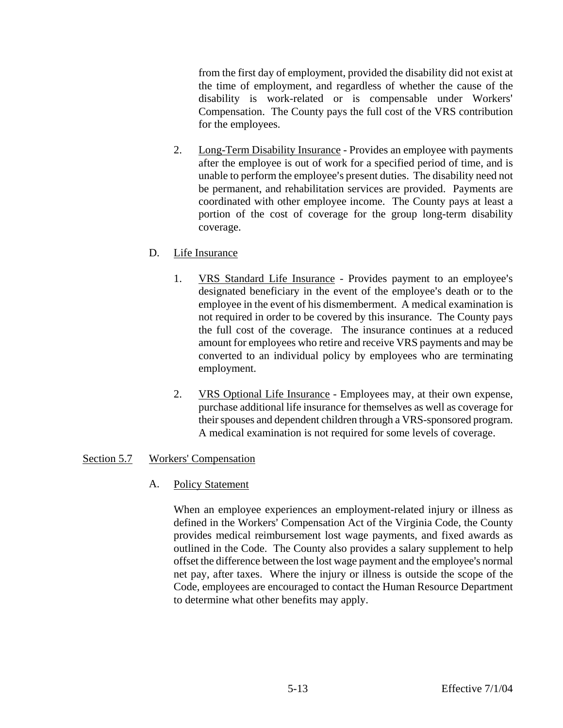from the first day of employment, provided the disability did not exist at the time of employment, and regardless of whether the cause of the disability is work-related or is compensable under Workers' Compensation. The County pays the full cost of the VRS contribution for the employees.

2. Long-Term Disability Insurance - Provides an employee with payments after the employee is out of work for a specified period of time, and is unable to perform the employee's present duties. The disability need not be permanent, and rehabilitation services are provided. Payments are coordinated with other employee income. The County pays at least a portion of the cost of coverage for the group long-term disability coverage.

### D. Life Insurance

- 1. VRS Standard Life Insurance Provides payment to an employee's designated beneficiary in the event of the employee's death or to the employee in the event of his dismemberment. A medical examination is not required in order to be covered by this insurance. The County pays the full cost of the coverage. The insurance continues at a reduced amount for employees who retire and receive VRS payments and may be converted to an individual policy by employees who are terminating employment.
- 2. VRS Optional Life Insurance Employees may, at their own expense, purchase additional life insurance for themselves as well as coverage for their spouses and dependent children through a VRS-sponsored program. A medical examination is not required for some levels of coverage.

### Section 5.7 Workers' Compensation

### A. Policy Statement

When an employee experiences an employment-related injury or illness as defined in the Workers' Compensation Act of the Virginia Code, the County provides medical reimbursement lost wage payments, and fixed awards as outlined in the Code. The County also provides a salary supplement to help offset the difference between the lost wage payment and the employee's normal net pay, after taxes. Where the injury or illness is outside the scope of the Code, employees are encouraged to contact the Human Resource Department to determine what other benefits may apply.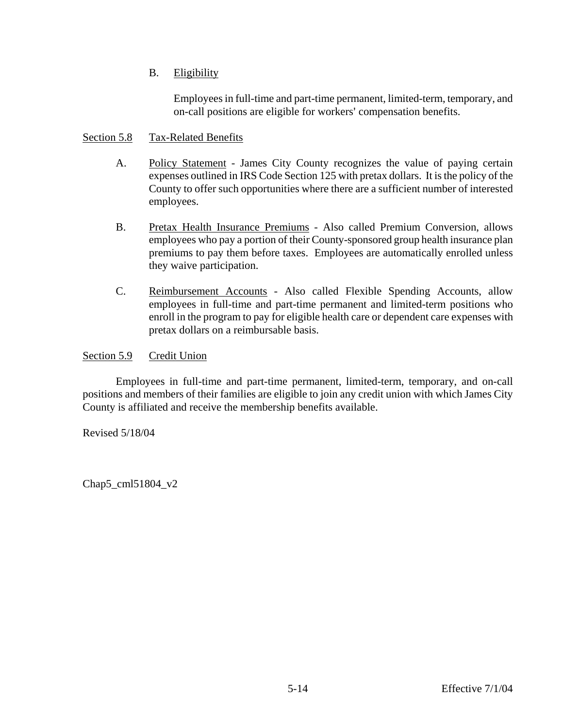### B. Eligibility

Employees in full-time and part-time permanent, limited-term, temporary, and on-call positions are eligible for workers' compensation benefits.

### <span id="page-39-0"></span>Section 5.8 Tax-Related Benefits

- A. Policy Statement James City County recognizes the value of paying certain expenses outlined in IRS Code Section 125 with pretax dollars. It is the policy of the County to offer such opportunities where there are a sufficient number of interested employees.
- B. Pretax Health Insurance Premiums Also called Premium Conversion, allows employees who pay a portion of their County-sponsored group health insurance plan premiums to pay them before taxes. Employees are automatically enrolled unless they waive participation.
- C. Reimbursement Accounts Also called Flexible Spending Accounts, allow employees in full-time and part-time permanent and limited-term positions who enroll in the program to pay for eligible health care or dependent care expenses with pretax dollars on a reimbursable basis.

### Section 5.9 Credit Union

Employees in full-time and part-time permanent, limited-term, temporary, and on-call positions and members of their families are eligible to join any credit union with which James City County is affiliated and receive the membership benefits available.

Revised 5/18/04

Chap5\_cml51804\_v2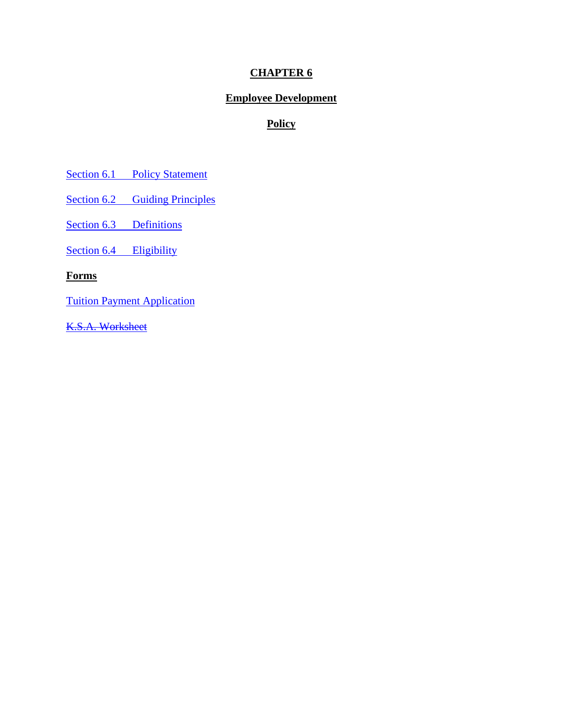# **CHAPTER 6**

# **Employee Development**

# **Policy**

[Section 6.1 Policy Statement](#page-41-0)

[Section 6.2 Guiding Principles](#page-41-0)

[Section 6.3 Definitions](#page-41-0)

[Section 6.4 Eligibility](#page-42-0)

**Forms**

Tuition Payment Application

K.S.A. Worksheet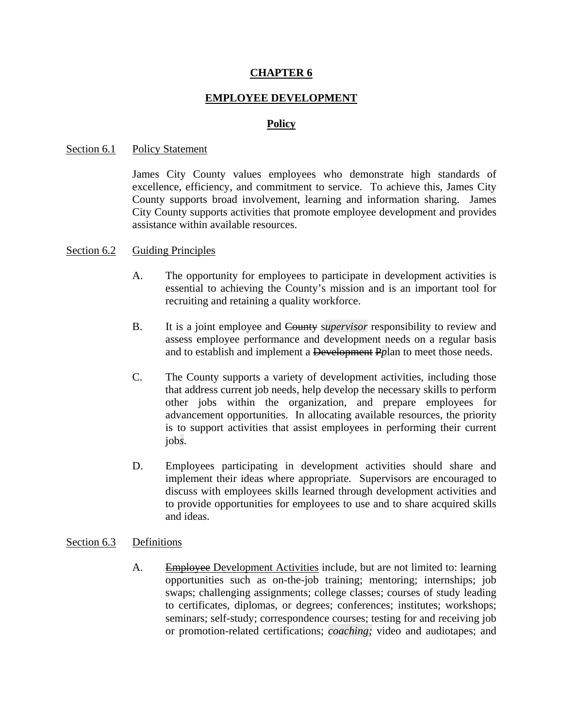### **CHAPTER 6**

### **EMPLOYEE DEVELOPMENT**

#### **Policy**

#### <span id="page-41-0"></span>Section 6.1 Policy Statement

James City County values employees who demonstrate high standards of excellence, efficiency, and commitment to service. To achieve this, James City County supports broad involvement, learning and information sharing. James City County supports activities that promote employee development and provides assistance within available resources.

#### Section 6.2 Guiding Principles

- A. The opportunity for employees to participate in development activities is essential to achieving the County's mission and is an important tool for recruiting and retaining a quality workforce.
- B. It is a joint employee and County s*upervisor* responsibility to review and assess employee performance and development needs on a regular basis and to establish and implement a Development P*p*lan to meet those needs.
- C. The County supports a variety of development activities, including those that address current job needs, help develop the necessary skills to perform other jobs within the organization, and prepare employees for advancement opportunities. In allocating available resources, the priority is to support activities that assist employees in performing their current job*s*.
- D. Employees participating in development activities should share and implement their ideas where appropriate. Supervisors are encouraged to discuss with employees skills learned through development activities and to provide opportunities for employees to use and to share acquired skills and ideas.

#### Section 6.3 Definitions

A. Employee Development Activities include, but are not limited to: learning opportunities such as on-the-job training; mentoring; internships; job swaps; challenging assignments; college classes; courses of study leading to certificates, diplomas, or degrees; conferences; institutes; workshops; seminars; self-study; correspondence courses; testing for and receiving job or promotion-related certifications; *coaching;* video and audiotapes; and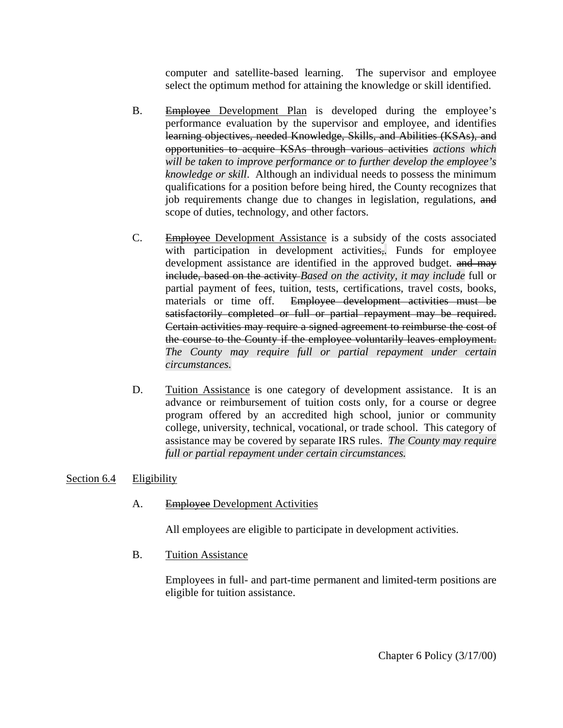computer and satellite-based learning. The supervisor and employee select the optimum method for attaining the knowledge or skill identified.

- <span id="page-42-0"></span>B. Employee Development Plan is developed during the employee's performance evaluation by the supervisor and employee, and identifies learning objectives, needed Knowledge, Skills, and Abilities (KSAs), and opportunities to acquire KSAs through various activities *actions which will be taken to improve performance or to further develop the employee's knowledge or skill*. Although an individual needs to possess the minimum qualifications for a position before being hired, the County recognizes that job requirements change due to changes in legislation, regulations, and scope of duties, technology, and other factors.
- C. Employee Development Assistance is a subsidy of the costs associated with participation in development activities,*.* Funds for employee development assistance are identified in the approved budget. and may include, based on the activity *Based on the activity, it may include* full or partial payment of fees, tuition, tests, certifications, travel costs, books, materials or time off. Employee development activities must be satisfactorily completed or full or partial repayment may be required. Certain activities may require a signed agreement to reimburse the cost of the course to the County if the employee voluntarily leaves employment. *The County may require full or partial repayment under certain circumstances.*
- D. Tuition Assistance is one category of development assistance. It is an advance or reimbursement of tuition costs only, for a course or degree program offered by an accredited high school, junior or community college, university, technical, vocational, or trade school. This category of assistance may be covered by separate IRS rules. *The County may require full or partial repayment under certain circumstances.*

### Section 6.4 Eligibility

A. Employee Development Activities

All employees are eligible to participate in development activities.

B. Tuition Assistance

Employees in full- and part-time permanent and limited-term positions are eligible for tuition assistance.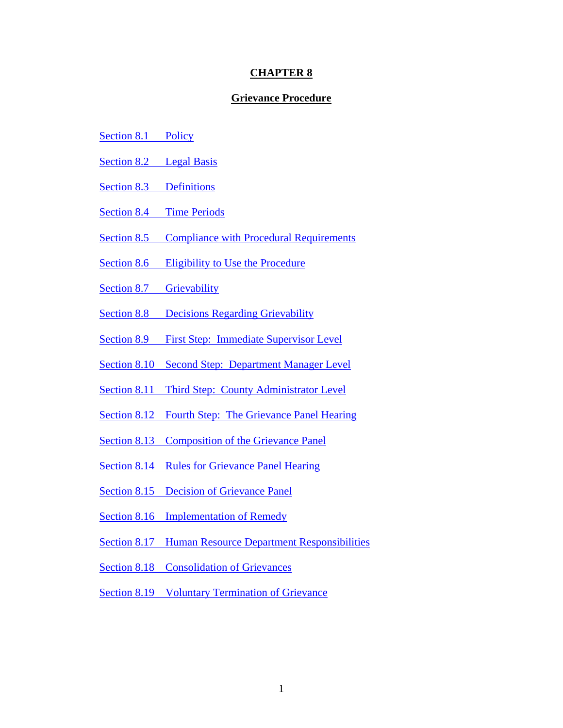#### **CHAPTER 8**

#### **Grievance Procedure**

- <span id="page-43-0"></span>Section 8.1 Policy
- Section 8.2 Legal Basis
- [Section 8.3 Definitions](#page-43-0)
- Section 8.4 Time Periods
- Section 8.5 Compliance with Procedural Requirements
- [Section](#page-43-0) 8.6 Eligibility to Use the Procedure
- [Section 8.7 Grievability](#page-59-0)
- [Section 8.8 Decisions Regarding Grievability](#page-43-0)
- [Section 8.9 First Step: Immediate Supervisor Level](#page-43-0)
- [Section 8.10 Second Step: Department Manager Level](#page-43-0)
- [Section 8.11 Third Step: County Administrator Level](#page-43-0)
- [Section 8.12 Fourth Step: The Grievance Panel Hearing](#page-43-0)
- [Section 8.13 Composition of the Grievance Panel](#page-43-0)
- [Section 8.14 Rules for Grievance Panel Hearing](#page-43-0)
- [Section 8.15 Decision of Grievance Panel](#page-43-0)
- [Section 8.16 Implementation of Remedy](#page-43-0)
- [Section 8.17](#page-43-0) Human Resource Department Responsibilities
- Section 8.18 Consolidation of Grievances
- Section 8.19 Voluntary Termination of Grievance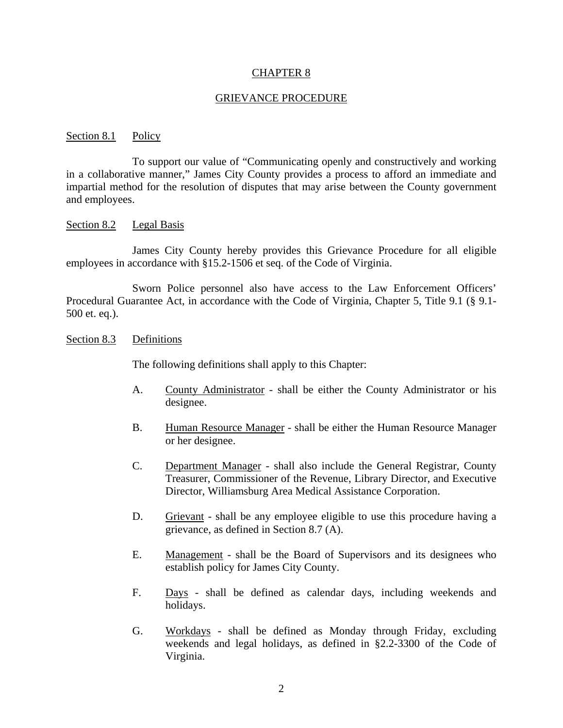#### CHAPTER 8

#### GRIEVANCE PROCEDURE

#### Section 8.1 Policy

 To support our value of "Communicating openly and constructively and working in a collaborative manner," James City County provides a process to afford an immediate and impartial method for the resolution of disputes that may arise between the County government and employees.

#### Section 8.2 Legal Basis

 James City County hereby provides this Grievance Procedure for all eligible employees in accordance with §15.2-1506 et seq. of the Code of Virginia.

 Sworn Police personnel also have access to the Law Enforcement Officers' Procedural Guarantee Act, in accordance with the Code of Virginia, Chapter 5, Title 9.1 (§ 9.1- 500 et. eq.).

#### Section 8.3 Definitions

The following definitions shall apply to this Chapter:

- A. County Administrator shall be either the County Administrator or his designee.
- B. Human Resource Manager shall be either the Human Resource Manager or her designee.
- C. Department Manager shall also include the General Registrar, County Treasurer, Commissioner of the Revenue, Library Director, and Executive Director, Williamsburg Area Medical Assistance Corporation.
- D. Grievant shall be any employee eligible to use this procedure having a grievance, as defined in Section 8.7 (A).
- E. Management shall be the Board of Supervisors and its designees who establish policy for James City County.
- F. Days shall be defined as calendar days, including weekends and holidays.
- G. Workdays shall be defined as Monday through Friday, excluding weekends and legal holidays, as defined in §2.2-3300 of the Code of Virginia.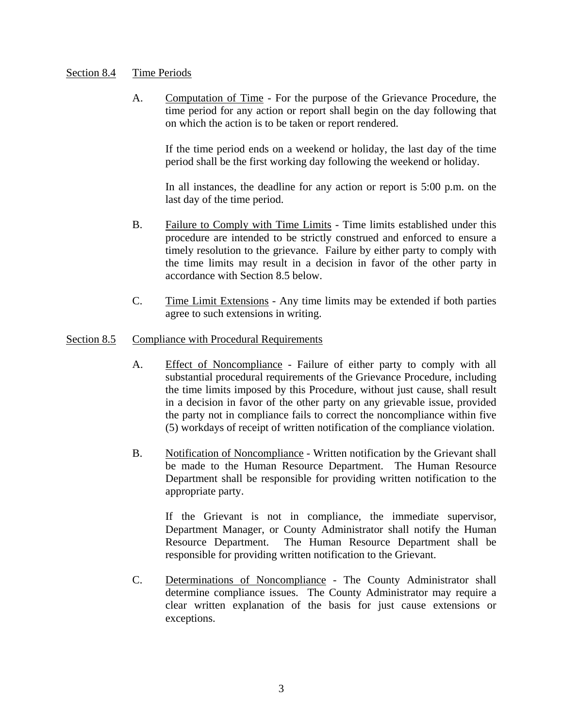### Section 8.4 Time Periods

A. Computation of Time - For the purpose of the Grievance Procedure, the time period for any action or report shall begin on the day following that on which the action is to be taken or report rendered.

If the time period ends on a weekend or holiday, the last day of the time period shall be the first working day following the weekend or holiday.

In all instances, the deadline for any action or report is 5:00 p.m. on the last day of the time period.

- B. Failure to Comply with Time Limits Time limits established under this procedure are intended to be strictly construed and enforced to ensure a timely resolution to the grievance. Failure by either party to comply with the time limits may result in a decision in favor of the other party in accordance with Section 8.5 below.
- C. Time Limit Extensions Any time limits may be extended if both parties agree to such extensions in writing.

#### Section 8.5 Compliance with Procedural Requirements

- A. Effect of Noncompliance Failure of either party to comply with all substantial procedural requirements of the Grievance Procedure, including the time limits imposed by this Procedure, without just cause, shall result in a decision in favor of the other party on any grievable issue, provided the party not in compliance fails to correct the noncompliance within five (5) workdays of receipt of written notification of the compliance violation.
- B. Notification of Noncompliance Written notification by the Grievant shall be made to the Human Resource Department. The Human Resource Department shall be responsible for providing written notification to the appropriate party.

 If the Grievant is not in compliance, the immediate supervisor, Department Manager, or County Administrator shall notify the Human Resource Department. The Human Resource Department shall be responsible for providing written notification to the Grievant.

C. Determinations of Noncompliance - The County Administrator shall determine compliance issues. The County Administrator may require a clear written explanation of the basis for just cause extensions or exceptions.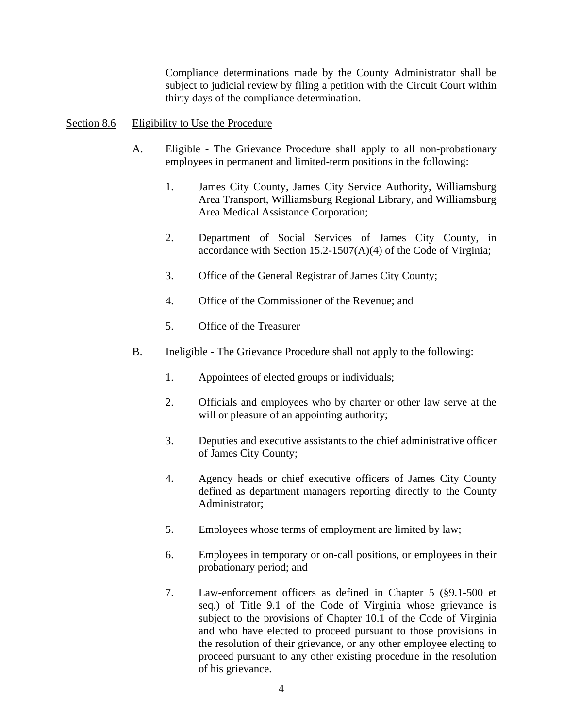Compliance determinations made by the County Administrator shall be subject to judicial review by filing a petition with the Circuit Court within thirty days of the compliance determination.

#### Section 8.6 Eligibility to Use the Procedure

- A. Eligible The Grievance Procedure shall apply to all non-probationary employees in permanent and limited-term positions in the following:
	- 1. James City County, James City Service Authority, Williamsburg Area Transport, Williamsburg Regional Library, and Williamsburg Area Medical Assistance Corporation;
	- 2. Department of Social Services of James City County, in accordance with Section  $15.2\n-1507(A)(4)$  of the Code of Virginia;
	- 3. Office of the General Registrar of James City County;
	- 4. Office of the Commissioner of the Revenue; and
	- 5. Office of the Treasurer
- B. Ineligible The Grievance Procedure shall not apply to the following:
	- 1. Appointees of elected groups or individuals;
	- 2. Officials and employees who by charter or other law serve at the will or pleasure of an appointing authority;
	- 3. Deputies and executive assistants to the chief administrative officer of James City County;
	- 4. Agency heads or chief executive officers of James City County defined as department managers reporting directly to the County Administrator;
	- 5. Employees whose terms of employment are limited by law;
	- 6. Employees in temporary or on-call positions, or employees in their probationary period; and
	- 7. Law-enforcement officers as defined in Chapter 5 (§9.1-500 et seq.) of Title 9.1 of the Code of Virginia whose grievance is subject to the provisions of Chapter 10.1 of the Code of Virginia and who have elected to proceed pursuant to those provisions in the resolution of their grievance, or any other employee electing to proceed pursuant to any other existing procedure in the resolution of his grievance.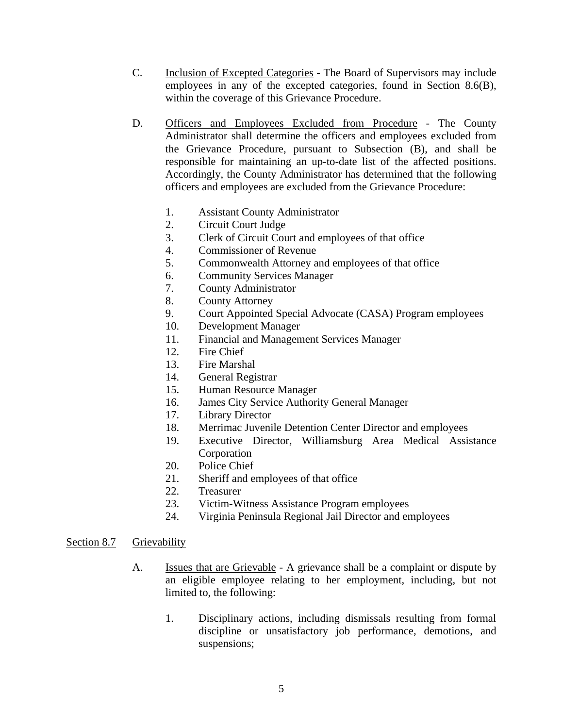- C. Inclusion of Excepted Categories The Board of Supervisors may include employees in any of the excepted categories, found in Section 8.6(B), within the coverage of this Grievance Procedure.
- D. Officers and Employees Excluded from Procedure The County Administrator shall determine the officers and employees excluded from the Grievance Procedure, pursuant to Subsection (B), and shall be responsible for maintaining an up-to-date list of the affected positions. Accordingly, the County Administrator has determined that the following officers and employees are excluded from the Grievance Procedure:
	- 1. Assistant County Administrator
	- 2. Circuit Court Judge
	- 3. Clerk of Circuit Court and employees of that office
	- 4. Commissioner of Revenue
	- 5. Commonwealth Attorney and employees of that office
	- 6. Community Services Manager
	- 7. County Administrator
	- 8. County Attorney
	- 9. Court Appointed Special Advocate (CASA) Program employees
	- 10. Development Manager
	- 11. Financial and Management Services Manager
	- 12. Fire Chief
	- 13. Fire Marshal
	- 14. General Registrar
	- 15. Human Resource Manager
	- 16. James City Service Authority General Manager
	- 17. Library Director
	- 18. Merrimac Juvenile Detention Center Director and employees
	- 19. Executive Director, Williamsburg Area Medical Assistance Corporation
	- 20. Police Chief
	- 21. Sheriff and employees of that office
	- 22. Treasurer
	- 23. Victim-Witness Assistance Program employees
	- 24. Virginia Peninsula Regional Jail Director and employees

#### Section 8.7 Grievability

- A. **Issues that are Grievable** A grievance shall be a complaint or dispute by an eligible employee relating to her employment, including, but not limited to, the following:
	- 1. Disciplinary actions, including dismissals resulting from formal discipline or unsatisfactory job performance, demotions, and suspensions;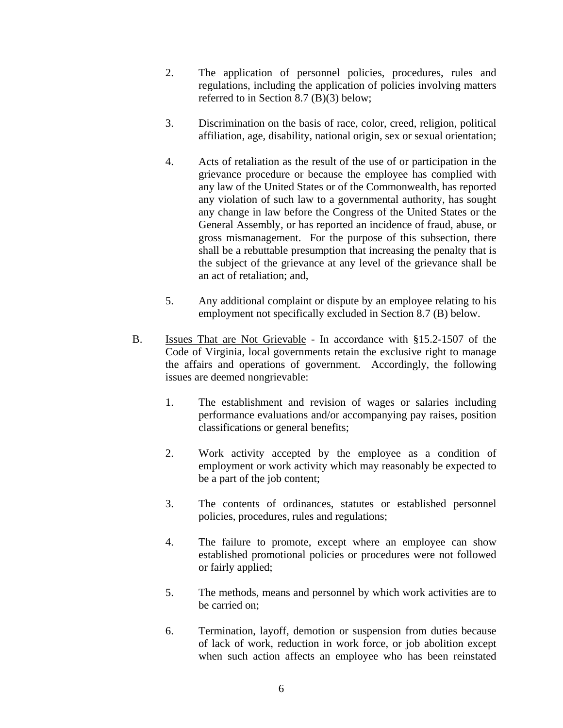- 2. The application of personnel policies, procedures, rules and regulations, including the application of policies involving matters referred to in Section 8.7 (B)(3) below;
- 3. Discrimination on the basis of race, color, creed, religion, political affiliation, age, disability, national origin, sex or sexual orientation;
- 4. Acts of retaliation as the result of the use of or participation in the grievance procedure or because the employee has complied with any law of the United States or of the Commonwealth, has reported any violation of such law to a governmental authority, has sought any change in law before the Congress of the United States or the General Assembly, or has reported an incidence of fraud, abuse, or gross mismanagement. For the purpose of this subsection, there shall be a rebuttable presumption that increasing the penalty that is the subject of the grievance at any level of the grievance shall be an act of retaliation; and,
- 5. Any additional complaint or dispute by an employee relating to his employment not specifically excluded in Section 8.7 (B) below.
- B. Issues That are Not Grievable In accordance with §15.2-1507 of the Code of Virginia, local governments retain the exclusive right to manage the affairs and operations of government. Accordingly, the following issues are deemed nongrievable:
	- 1. The establishment and revision of wages or salaries including performance evaluations and/or accompanying pay raises, position classifications or general benefits;
	- 2. Work activity accepted by the employee as a condition of employment or work activity which may reasonably be expected to be a part of the job content;
	- 3. The contents of ordinances, statutes or established personnel policies, procedures, rules and regulations;
	- 4. The failure to promote, except where an employee can show established promotional policies or procedures were not followed or fairly applied;
	- 5. The methods, means and personnel by which work activities are to be carried on;
	- 6. Termination, layoff, demotion or suspension from duties because of lack of work, reduction in work force, or job abolition except when such action affects an employee who has been reinstated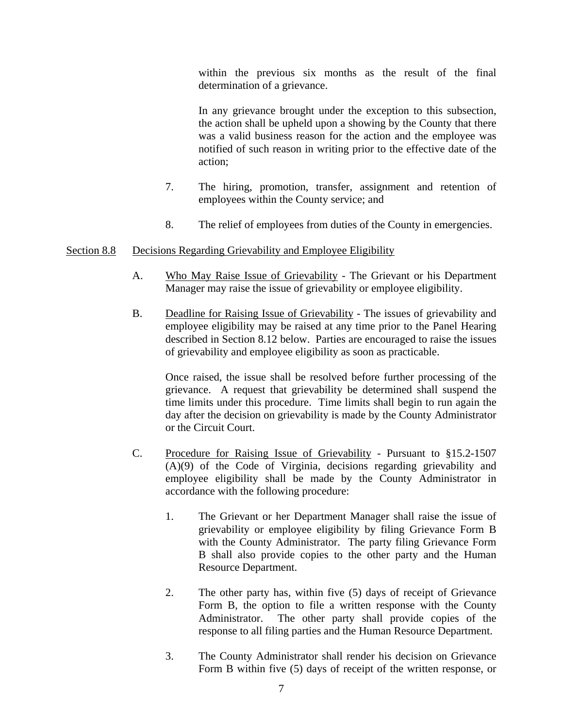within the previous six months as the result of the final determination of a grievance.

 In any grievance brought under the exception to this subsection, the action shall be upheld upon a showing by the County that there was a valid business reason for the action and the employee was notified of such reason in writing prior to the effective date of the action;

- 7. The hiring, promotion, transfer, assignment and retention of employees within the County service; and
- 8. The relief of employees from duties of the County in emergencies.

#### Section 8.8 Decisions Regarding Grievability and Employee Eligibility

- A. Who May Raise Issue of Grievability The Grievant or his Department Manager may raise the issue of grievability or employee eligibility.
- B. Deadline for Raising Issue of Grievability The issues of grievability and employee eligibility may be raised at any time prior to the Panel Hearing described in Section 8.12 below. Parties are encouraged to raise the issues of grievability and employee eligibility as soon as practicable.

 Once raised, the issue shall be resolved before further processing of the grievance. A request that grievability be determined shall suspend the time limits under this procedure. Time limits shall begin to run again the day after the decision on grievability is made by the County Administrator or the Circuit Court.

- C. Procedure for Raising Issue of Grievability Pursuant to §15.2-1507 (A)(9) of the Code of Virginia, decisions regarding grievability and employee eligibility shall be made by the County Administrator in accordance with the following procedure:
	- 1. The Grievant or her Department Manager shall raise the issue of grievability or employee eligibility by filing Grievance Form B with the County Administrator. The party filing Grievance Form B shall also provide copies to the other party and the Human Resource Department.
	- 2. The other party has, within five (5) days of receipt of Grievance Form B, the option to file a written response with the County Administrator. The other party shall provide copies of the response to all filing parties and the Human Resource Department.
	- 3. The County Administrator shall render his decision on Grievance Form B within five (5) days of receipt of the written response, or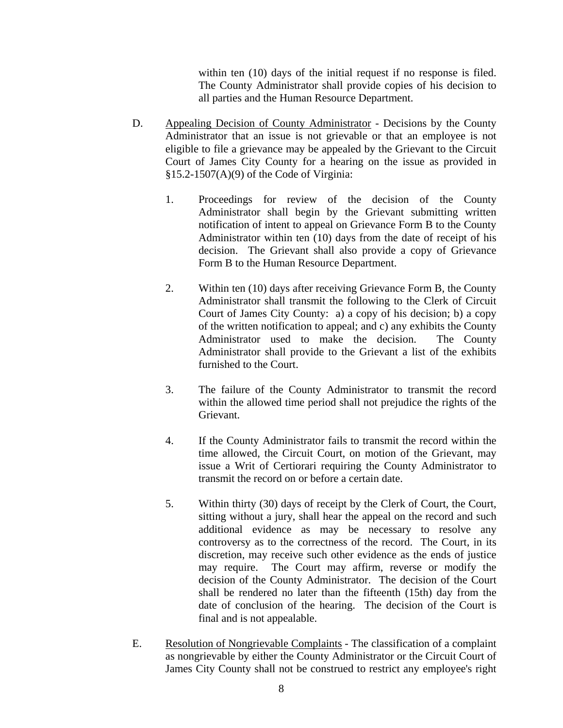within ten (10) days of the initial request if no response is filed. The County Administrator shall provide copies of his decision to all parties and the Human Resource Department.

- D. Appealing Decision of County Administrator Decisions by the County Administrator that an issue is not grievable or that an employee is not eligible to file a grievance may be appealed by the Grievant to the Circuit Court of James City County for a hearing on the issue as provided in §15.2-1507(A)(9) of the Code of Virginia:
	- 1. Proceedings for review of the decision of the County Administrator shall begin by the Grievant submitting written notification of intent to appeal on Grievance Form B to the County Administrator within ten (10) days from the date of receipt of his decision. The Grievant shall also provide a copy of Grievance Form B to the Human Resource Department.
	- 2. Within ten (10) days after receiving Grievance Form B, the County Administrator shall transmit the following to the Clerk of Circuit Court of James City County: a) a copy of his decision; b) a copy of the written notification to appeal; and c) any exhibits the County Administrator used to make the decision. The County Administrator shall provide to the Grievant a list of the exhibits furnished to the Court.
	- 3. The failure of the County Administrator to transmit the record within the allowed time period shall not prejudice the rights of the Grievant.
	- 4. If the County Administrator fails to transmit the record within the time allowed, the Circuit Court, on motion of the Grievant, may issue a Writ of Certiorari requiring the County Administrator to transmit the record on or before a certain date.
	- 5. Within thirty (30) days of receipt by the Clerk of Court, the Court, sitting without a jury, shall hear the appeal on the record and such additional evidence as may be necessary to resolve any controversy as to the correctness of the record. The Court, in its discretion, may receive such other evidence as the ends of justice may require. The Court may affirm, reverse or modify the decision of the County Administrator. The decision of the Court shall be rendered no later than the fifteenth (15th) day from the date of conclusion of the hearing. The decision of the Court is final and is not appealable.
- E. Resolution of Nongrievable Complaints The classification of a complaint as nongrievable by either the County Administrator or the Circuit Court of James City County shall not be construed to restrict any employee's right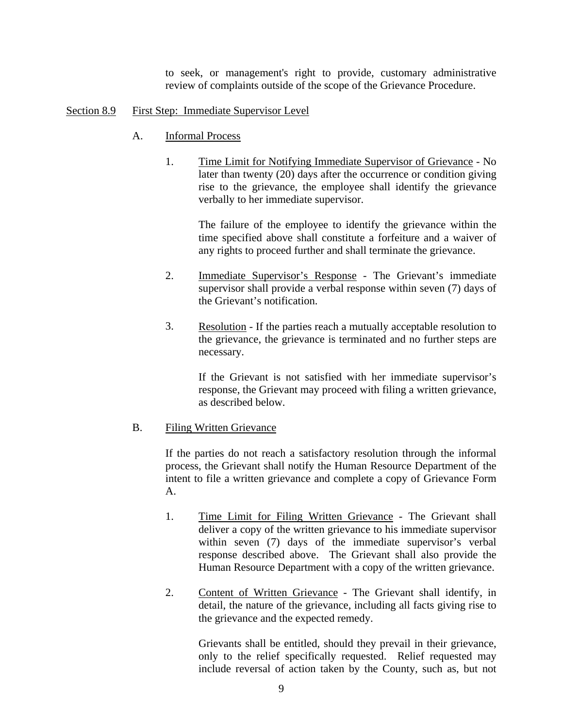to seek, or management's right to provide, customary administrative review of complaints outside of the scope of the Grievance Procedure.

#### Section 8.9 First Step: Immediate Supervisor Level

- A. Informal Process
	- 1. Time Limit for Notifying Immediate Supervisor of Grievance No later than twenty (20) days after the occurrence or condition giving rise to the grievance, the employee shall identify the grievance verbally to her immediate supervisor.

 The failure of the employee to identify the grievance within the time specified above shall constitute a forfeiture and a waiver of any rights to proceed further and shall terminate the grievance.

- 2. Immediate Supervisor's Response The Grievant's immediate supervisor shall provide a verbal response within seven (7) days of the Grievant's notification.
- 3. Resolution If the parties reach a mutually acceptable resolution to the grievance, the grievance is terminated and no further steps are necessary.

 If the Grievant is not satisfied with her immediate supervisor's response, the Grievant may proceed with filing a written grievance, as described below.

### B. Filing Written Grievance

 If the parties do not reach a satisfactory resolution through the informal process, the Grievant shall notify the Human Resource Department of the intent to file a written grievance and complete a copy of Grievance Form A.

- 1. Time Limit for Filing Written Grievance The Grievant shall deliver a copy of the written grievance to his immediate supervisor within seven (7) days of the immediate supervisor's verbal response described above. The Grievant shall also provide the Human Resource Department with a copy of the written grievance.
- 2. Content of Written Grievance The Grievant shall identify, in detail, the nature of the grievance, including all facts giving rise to the grievance and the expected remedy.

 Grievants shall be entitled, should they prevail in their grievance, only to the relief specifically requested. Relief requested may include reversal of action taken by the County, such as, but not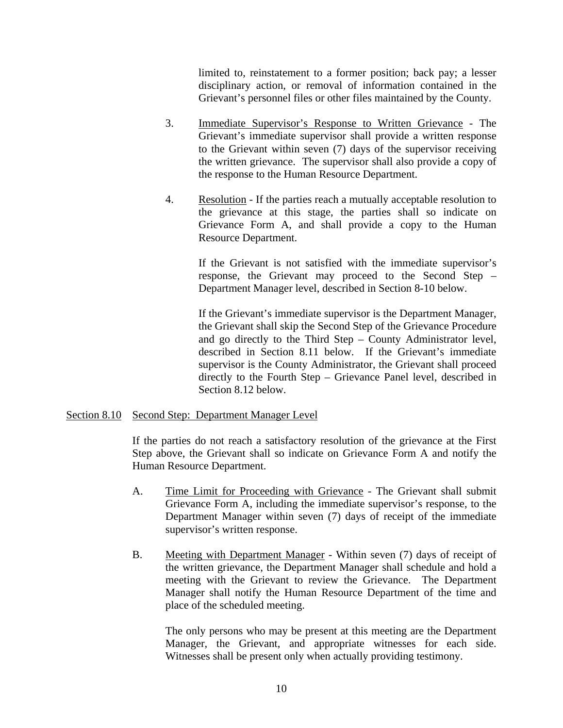limited to, reinstatement to a former position; back pay; a lesser disciplinary action, or removal of information contained in the Grievant's personnel files or other files maintained by the County.

- 3. Immediate Supervisor's Response to Written Grievance The Grievant's immediate supervisor shall provide a written response to the Grievant within seven (7) days of the supervisor receiving the written grievance. The supervisor shall also provide a copy of the response to the Human Resource Department.
- 4. Resolution If the parties reach a mutually acceptable resolution to the grievance at this stage, the parties shall so indicate on Grievance Form A, and shall provide a copy to the Human Resource Department.

 If the Grievant is not satisfied with the immediate supervisor's response, the Grievant may proceed to the Second Step – Department Manager level, described in Section 8-10 below.

 If the Grievant's immediate supervisor is the Department Manager, the Grievant shall skip the Second Step of the Grievance Procedure and go directly to the Third Step – County Administrator level, described in Section 8.11 below. If the Grievant's immediate supervisor is the County Administrator, the Grievant shall proceed directly to the Fourth Step – Grievance Panel level, described in Section 8.12 below.

### Section 8.10 Second Step: Department Manager Level

If the parties do not reach a satisfactory resolution of the grievance at the First Step above, the Grievant shall so indicate on Grievance Form A and notify the Human Resource Department.

- A. Time Limit for Proceeding with Grievance The Grievant shall submit Grievance Form A, including the immediate supervisor's response, to the Department Manager within seven (7) days of receipt of the immediate supervisor's written response.
- B. Meeting with Department Manager Within seven (7) days of receipt of the written grievance, the Department Manager shall schedule and hold a meeting with the Grievant to review the Grievance. The Department Manager shall notify the Human Resource Department of the time and place of the scheduled meeting.

 The only persons who may be present at this meeting are the Department Manager, the Grievant, and appropriate witnesses for each side. Witnesses shall be present only when actually providing testimony.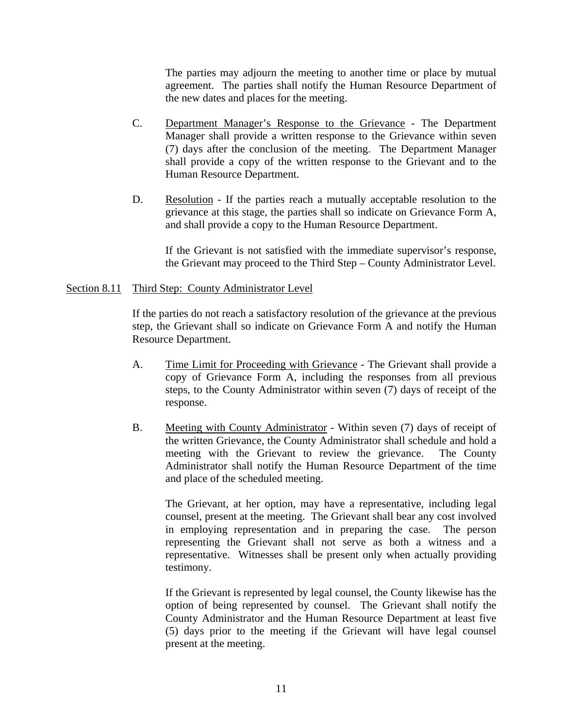The parties may adjourn the meeting to another time or place by mutual agreement. The parties shall notify the Human Resource Department of the new dates and places for the meeting.

- C. Department Manager's Response to the Grievance The Department Manager shall provide a written response to the Grievance within seven (7) days after the conclusion of the meeting. The Department Manager shall provide a copy of the written response to the Grievant and to the Human Resource Department.
- D. Resolution If the parties reach a mutually acceptable resolution to the grievance at this stage, the parties shall so indicate on Grievance Form A, and shall provide a copy to the Human Resource Department.

 If the Grievant is not satisfied with the immediate supervisor's response, the Grievant may proceed to the Third Step – County Administrator Level.

#### Section 8.11 Third Step: County Administrator Level

If the parties do not reach a satisfactory resolution of the grievance at the previous step, the Grievant shall so indicate on Grievance Form A and notify the Human Resource Department.

- A. Time Limit for Proceeding with Grievance The Grievant shall provide a copy of Grievance Form A, including the responses from all previous steps, to the County Administrator within seven (7) days of receipt of the response.
- B. Meeting with County Administrator Within seven (7) days of receipt of the written Grievance, the County Administrator shall schedule and hold a meeting with the Grievant to review the grievance. The County Administrator shall notify the Human Resource Department of the time and place of the scheduled meeting.

 The Grievant, at her option, may have a representative, including legal counsel, present at the meeting. The Grievant shall bear any cost involved in employing representation and in preparing the case. The person representing the Grievant shall not serve as both a witness and a representative. Witnesses shall be present only when actually providing testimony.

 If the Grievant is represented by legal counsel, the County likewise has the option of being represented by counsel. The Grievant shall notify the County Administrator and the Human Resource Department at least five (5) days prior to the meeting if the Grievant will have legal counsel present at the meeting.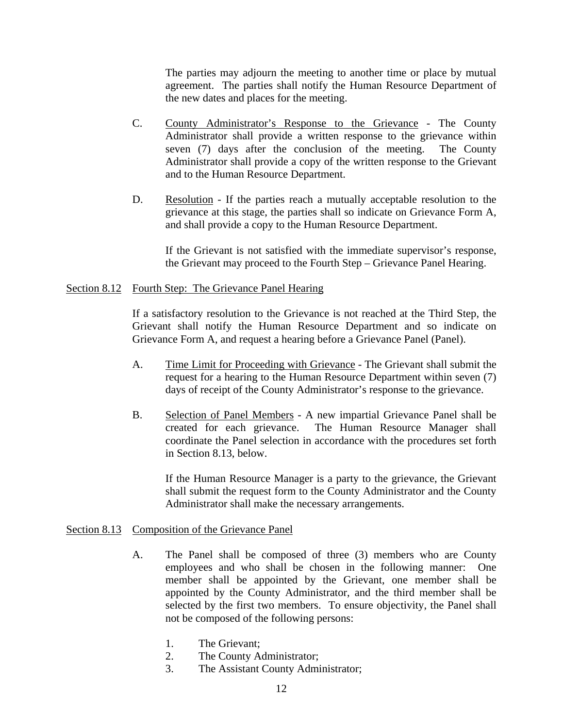The parties may adjourn the meeting to another time or place by mutual agreement. The parties shall notify the Human Resource Department of the new dates and places for the meeting.

- C. County Administrator's Response to the Grievance The County Administrator shall provide a written response to the grievance within seven (7) days after the conclusion of the meeting. The County Administrator shall provide a copy of the written response to the Grievant and to the Human Resource Department.
- D. Resolution If the parties reach a mutually acceptable resolution to the grievance at this stage, the parties shall so indicate on Grievance Form A, and shall provide a copy to the Human Resource Department.

 If the Grievant is not satisfied with the immediate supervisor's response, the Grievant may proceed to the Fourth Step – Grievance Panel Hearing.

#### Section 8.12 Fourth Step: The Grievance Panel Hearing

If a satisfactory resolution to the Grievance is not reached at the Third Step, the Grievant shall notify the Human Resource Department and so indicate on Grievance Form A, and request a hearing before a Grievance Panel (Panel).

- A. Time Limit for Proceeding with Grievance The Grievant shall submit the request for a hearing to the Human Resource Department within seven (7) days of receipt of the County Administrator's response to the grievance.
- B. Selection of Panel Members A new impartial Grievance Panel shall be created for each grievance. The Human Resource Manager shall coordinate the Panel selection in accordance with the procedures set forth in Section 8.13, below.

 If the Human Resource Manager is a party to the grievance, the Grievant shall submit the request form to the County Administrator and the County Administrator shall make the necessary arrangements.

### Section 8.13 Composition of the Grievance Panel

- A. The Panel shall be composed of three (3) members who are County employees and who shall be chosen in the following manner: One member shall be appointed by the Grievant, one member shall be appointed by the County Administrator, and the third member shall be selected by the first two members. To ensure objectivity, the Panel shall not be composed of the following persons:
	- 1. The Grievant;
	- 2. The County Administrator;
	- 3. The Assistant County Administrator;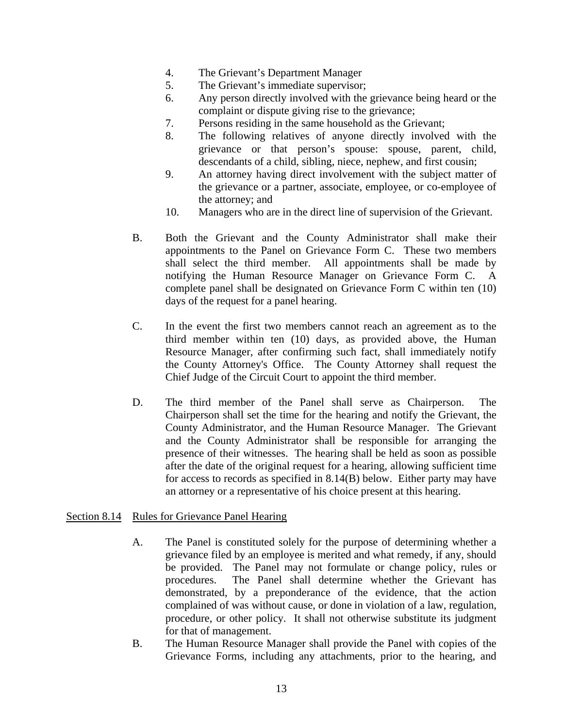- 4. The Grievant's Department Manager
- 5. The Grievant's immediate supervisor;
- 6. Any person directly involved with the grievance being heard or the complaint or dispute giving rise to the grievance;
- 7. Persons residing in the same household as the Grievant;
- 8. The following relatives of anyone directly involved with the grievance or that person's spouse: spouse, parent, child, descendants of a child, sibling, niece, nephew, and first cousin;
- 9. An attorney having direct involvement with the subject matter of the grievance or a partner, associate, employee, or co-employee of the attorney; and
- 10. Managers who are in the direct line of supervision of the Grievant.
- B. Both the Grievant and the County Administrator shall make their appointments to the Panel on Grievance Form C. These two members shall select the third member. All appointments shall be made by notifying the Human Resource Manager on Grievance Form C. A complete panel shall be designated on Grievance Form C within ten (10) days of the request for a panel hearing.
- C. In the event the first two members cannot reach an agreement as to the third member within ten (10) days, as provided above, the Human Resource Manager, after confirming such fact, shall immediately notify the County Attorney's Office. The County Attorney shall request the Chief Judge of the Circuit Court to appoint the third member.
- D. The third member of the Panel shall serve as Chairperson. The Chairperson shall set the time for the hearing and notify the Grievant, the County Administrator, and the Human Resource Manager. The Grievant and the County Administrator shall be responsible for arranging the presence of their witnesses. The hearing shall be held as soon as possible after the date of the original request for a hearing, allowing sufficient time for access to records as specified in 8.14(B) below. Either party may have an attorney or a representative of his choice present at this hearing.

### Section 8.14 Rules for Grievance Panel Hearing

- A. The Panel is constituted solely for the purpose of determining whether a grievance filed by an employee is merited and what remedy, if any, should be provided. The Panel may not formulate or change policy, rules or procedures. The Panel shall determine whether the Grievant has demonstrated, by a preponderance of the evidence, that the action complained of was without cause, or done in violation of a law, regulation, procedure, or other policy. It shall not otherwise substitute its judgment for that of management.
- B. The Human Resource Manager shall provide the Panel with copies of the Grievance Forms, including any attachments, prior to the hearing, and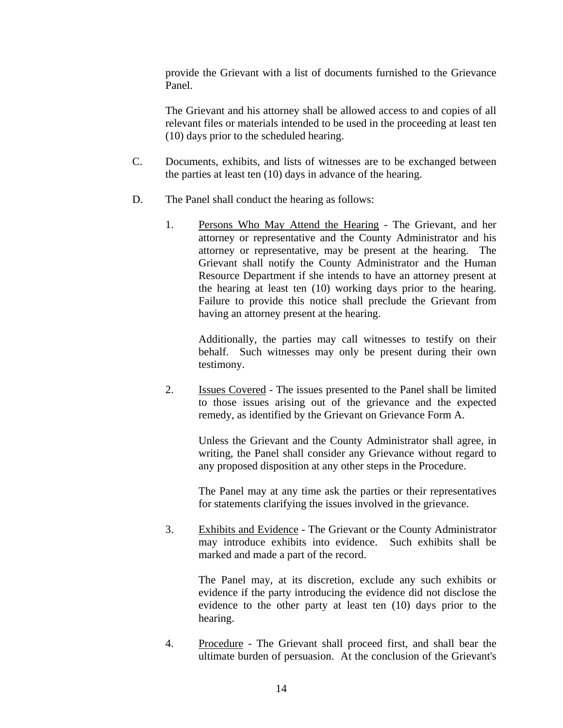provide the Grievant with a list of documents furnished to the Grievance Panel.

 The Grievant and his attorney shall be allowed access to and copies of all relevant files or materials intended to be used in the proceeding at least ten (10) days prior to the scheduled hearing.

- C. Documents, exhibits, and lists of witnesses are to be exchanged between the parties at least ten (10) days in advance of the hearing.
- D. The Panel shall conduct the hearing as follows:
	- 1. Persons Who May Attend the Hearing The Grievant, and her attorney or representative and the County Administrator and his attorney or representative, may be present at the hearing. The Grievant shall notify the County Administrator and the Human Resource Department if she intends to have an attorney present at the hearing at least ten (10) working days prior to the hearing. Failure to provide this notice shall preclude the Grievant from having an attorney present at the hearing.

 Additionally, the parties may call witnesses to testify on their behalf. Such witnesses may only be present during their own testimony.

 2. Issues Covered - The issues presented to the Panel shall be limited to those issues arising out of the grievance and the expected remedy, as identified by the Grievant on Grievance Form A.

 Unless the Grievant and the County Administrator shall agree, in writing, the Panel shall consider any Grievance without regard to any proposed disposition at any other steps in the Procedure.

 The Panel may at any time ask the parties or their representatives for statements clarifying the issues involved in the grievance.

 3. Exhibits and Evidence - The Grievant or the County Administrator may introduce exhibits into evidence. Such exhibits shall be marked and made a part of the record.

 The Panel may, at its discretion, exclude any such exhibits or evidence if the party introducing the evidence did not disclose the evidence to the other party at least ten (10) days prior to the hearing.

 4. Procedure - The Grievant shall proceed first, and shall bear the ultimate burden of persuasion. At the conclusion of the Grievant's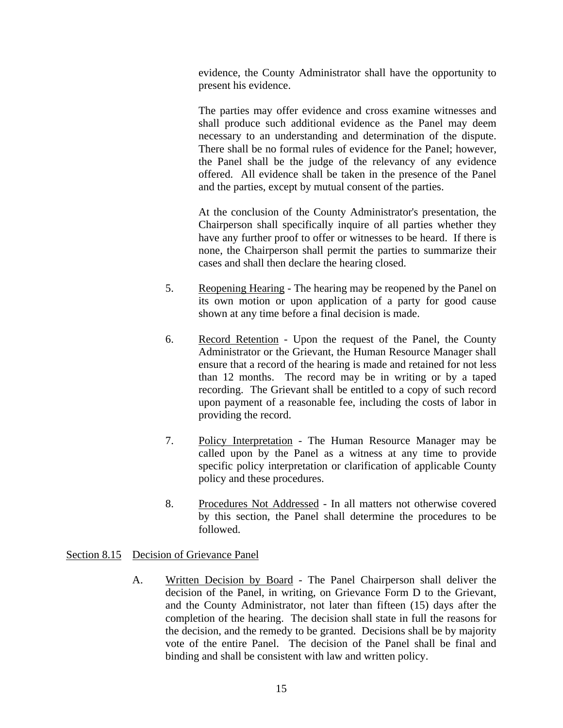evidence, the County Administrator shall have the opportunity to present his evidence.

 The parties may offer evidence and cross examine witnesses and shall produce such additional evidence as the Panel may deem necessary to an understanding and determination of the dispute. There shall be no formal rules of evidence for the Panel; however, the Panel shall be the judge of the relevancy of any evidence offered. All evidence shall be taken in the presence of the Panel and the parties, except by mutual consent of the parties.

 At the conclusion of the County Administrator's presentation, the Chairperson shall specifically inquire of all parties whether they have any further proof to offer or witnesses to be heard. If there is none, the Chairperson shall permit the parties to summarize their cases and shall then declare the hearing closed.

- 5. Reopening Hearing The hearing may be reopened by the Panel on its own motion or upon application of a party for good cause shown at any time before a final decision is made.
- 6. Record Retention Upon the request of the Panel, the County Administrator or the Grievant, the Human Resource Manager shall ensure that a record of the hearing is made and retained for not less than 12 months. The record may be in writing or by a taped recording. The Grievant shall be entitled to a copy of such record upon payment of a reasonable fee, including the costs of labor in providing the record.
- 7. Policy Interpretation The Human Resource Manager may be called upon by the Panel as a witness at any time to provide specific policy interpretation or clarification of applicable County policy and these procedures.
- 8. Procedures Not Addressed In all matters not otherwise covered by this section, the Panel shall determine the procedures to be followed.

### Section 8.15 Decision of Grievance Panel

 A. Written Decision by Board - The Panel Chairperson shall deliver the decision of the Panel, in writing, on Grievance Form D to the Grievant, and the County Administrator, not later than fifteen (15) days after the completion of the hearing. The decision shall state in full the reasons for the decision, and the remedy to be granted. Decisions shall be by majority vote of the entire Panel. The decision of the Panel shall be final and binding and shall be consistent with law and written policy.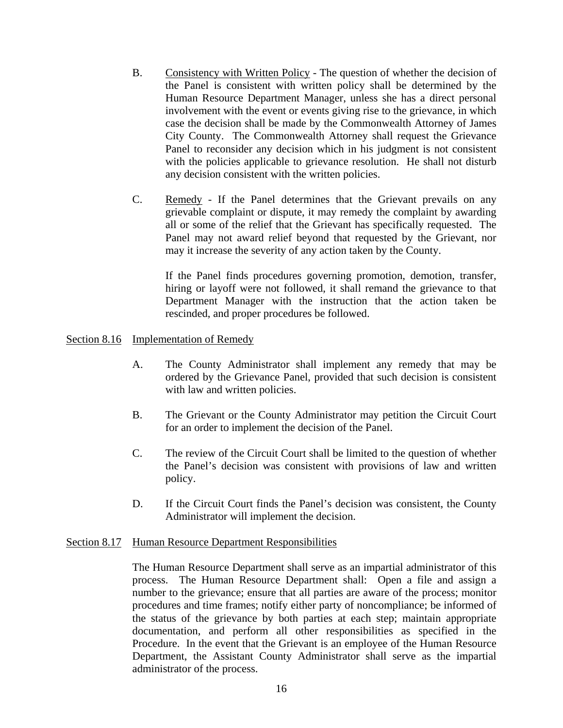- B. Consistency with Written Policy The question of whether the decision of the Panel is consistent with written policy shall be determined by the Human Resource Department Manager, unless she has a direct personal involvement with the event or events giving rise to the grievance, in which case the decision shall be made by the Commonwealth Attorney of James City County. The Commonwealth Attorney shall request the Grievance Panel to reconsider any decision which in his judgment is not consistent with the policies applicable to grievance resolution. He shall not disturb any decision consistent with the written policies.
- C. Remedy If the Panel determines that the Grievant prevails on any grievable complaint or dispute, it may remedy the complaint by awarding all or some of the relief that the Grievant has specifically requested. The Panel may not award relief beyond that requested by the Grievant, nor may it increase the severity of any action taken by the County.

If the Panel finds procedures governing promotion, demotion, transfer, hiring or layoff were not followed, it shall remand the grievance to that Department Manager with the instruction that the action taken be rescinded, and proper procedures be followed.

#### Section 8.16 Implementation of Remedy

- A. The County Administrator shall implement any remedy that may be ordered by the Grievance Panel, provided that such decision is consistent with law and written policies.
- B. The Grievant or the County Administrator may petition the Circuit Court for an order to implement the decision of the Panel.
- C. The review of the Circuit Court shall be limited to the question of whether the Panel's decision was consistent with provisions of law and written policy.
- D. If the Circuit Court finds the Panel's decision was consistent, the County Administrator will implement the decision.

#### Section 8.17 Human Resource Department Responsibilities

The Human Resource Department shall serve as an impartial administrator of this process. The Human Resource Department shall: Open a file and assign a number to the grievance; ensure that all parties are aware of the process; monitor procedures and time frames; notify either party of noncompliance; be informed of the status of the grievance by both parties at each step; maintain appropriate documentation, and perform all other responsibilities as specified in the Procedure. In the event that the Grievant is an employee of the Human Resource Department, the Assistant County Administrator shall serve as the impartial administrator of the process.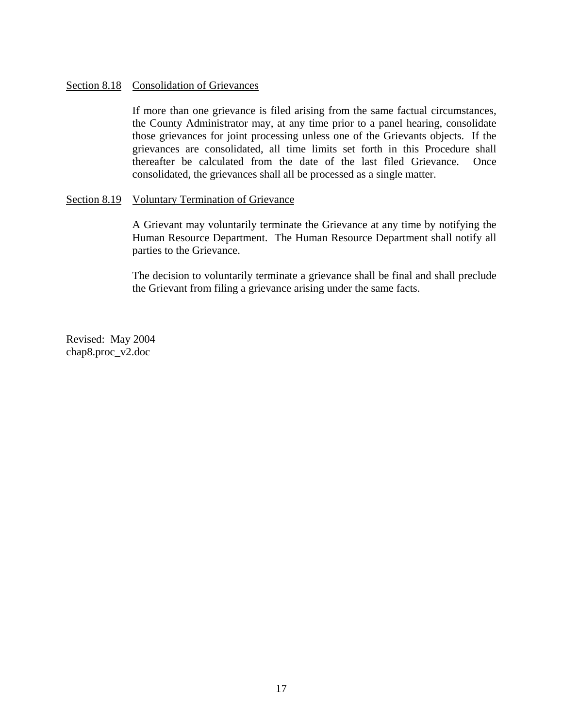#### <span id="page-59-0"></span>Section 8.18 Consolidation of Grievances

 If more than one grievance is filed arising from the same factual circumstances, the County Administrator may, at any time prior to a panel hearing, consolidate those grievances for joint processing unless one of the Grievants objects. If the grievances are consolidated, all time limits set forth in this Procedure shall thereafter be calculated from the date of the last filed Grievance. Once consolidated, the grievances shall all be processed as a single matter.

#### Section 8.19 Voluntary Termination of Grievance

A Grievant may voluntarily terminate the Grievance at any time by notifying the Human Resource Department. The Human Resource Department shall notify all parties to the Grievance.

The decision to voluntarily terminate a grievance shall be final and shall preclude the Grievant from filing a grievance arising under the same facts.

Revised: May 2004 chap8.proc\_v2.doc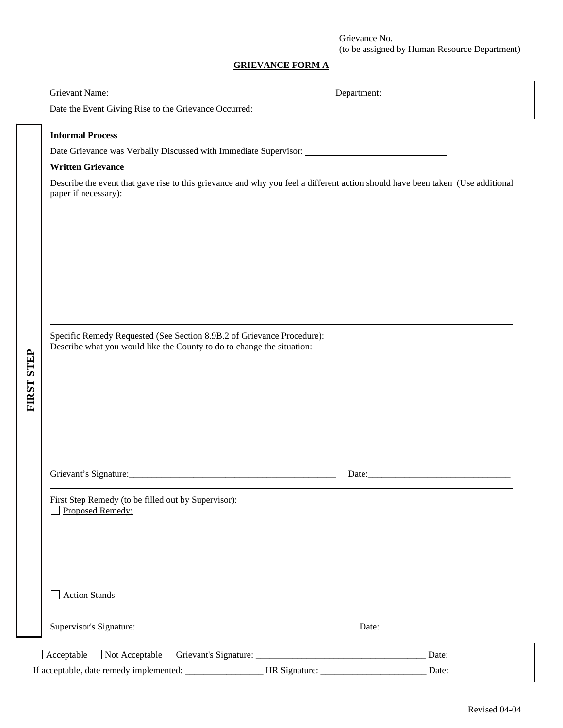Grievance No. (to be assigned by Human Resource Department)

### **GRIEVANCE FORM A**

|                                                                                                                                                                                                                                                                                                                                                                                        |                                                                                                 | Grievant Name: 1988 and 2008 and 2008 and 2008 and 2008 and 2008 and 2008 and 2008 and 2008 and 2008 and 2008 and 2008 and 2008 and 2008 and 2008 and 2008 and 2008 and 2008 and 2008 and 2008 and 2008 and 2008 and 2008 and |
|----------------------------------------------------------------------------------------------------------------------------------------------------------------------------------------------------------------------------------------------------------------------------------------------------------------------------------------------------------------------------------------|-------------------------------------------------------------------------------------------------|-------------------------------------------------------------------------------------------------------------------------------------------------------------------------------------------------------------------------------|
|                                                                                                                                                                                                                                                                                                                                                                                        | Date the Event Giving Rise to the Grievance Occurred:                                           |                                                                                                                                                                                                                               |
| <b>Informal Process</b><br><b>Written Grievance</b><br>Describe the event that gave rise to this grievance and why you feel a different action should have been taken (Use additional<br>paper if necessary):<br>Specific Remedy Requested (See Section 8.9B.2 of Grievance Procedure):<br>Describe what you would like the County to do to change the situation:<br><b>FIRST STEP</b> |                                                                                                 |                                                                                                                                                                                                                               |
|                                                                                                                                                                                                                                                                                                                                                                                        | First Step Remedy (to be filled out by Supervisor):<br>Proposed Remedy:<br><b>Action Stands</b> | Date: <u>Date:</u>                                                                                                                                                                                                            |
|                                                                                                                                                                                                                                                                                                                                                                                        |                                                                                                 |                                                                                                                                                                                                                               |
|                                                                                                                                                                                                                                                                                                                                                                                        |                                                                                                 |                                                                                                                                                                                                                               |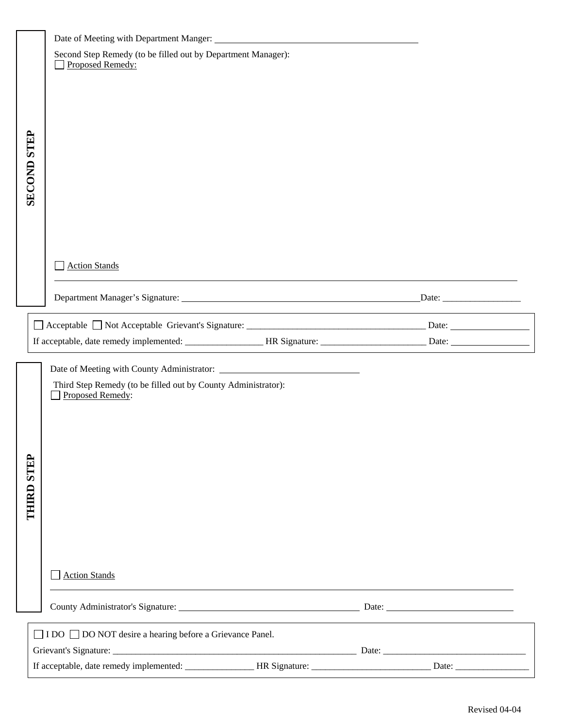| <b>SECOND STEP</b> | Second Step Remedy (to be filled out by Department Manager):<br>Proposed Remedy:  |                                             |                                                                  |  |
|--------------------|-----------------------------------------------------------------------------------|---------------------------------------------|------------------------------------------------------------------|--|
|                    |                                                                                   |                                             |                                                                  |  |
|                    |                                                                                   |                                             |                                                                  |  |
|                    | <b>Action Stands</b>                                                              |                                             |                                                                  |  |
|                    |                                                                                   |                                             | <u> 1989 - Johann John Stone, meilich aus der Stone († 1989)</u> |  |
|                    |                                                                                   |                                             |                                                                  |  |
|                    |                                                                                   | <u> 1980 - Johann Barnett, fransk konge</u> |                                                                  |  |
|                    |                                                                                   |                                             |                                                                  |  |
|                    | Third Step Remedy (to be filled out by County Administrator):<br>Proposed Remedy: |                                             |                                                                  |  |
|                    |                                                                                   |                                             |                                                                  |  |
|                    |                                                                                   |                                             |                                                                  |  |
|                    |                                                                                   |                                             |                                                                  |  |
|                    |                                                                                   |                                             |                                                                  |  |
| <b>THIRD STEP</b>  |                                                                                   |                                             |                                                                  |  |
|                    |                                                                                   |                                             |                                                                  |  |
|                    |                                                                                   |                                             |                                                                  |  |
|                    |                                                                                   |                                             |                                                                  |  |
|                    | <b>Action Stands</b>                                                              |                                             |                                                                  |  |
|                    |                                                                                   |                                             |                                                                  |  |
|                    | □ I DO □ DO NOT desire a hearing before a Grievance Panel.                        |                                             |                                                                  |  |
|                    |                                                                                   |                                             |                                                                  |  |
|                    |                                                                                   |                                             |                                                                  |  |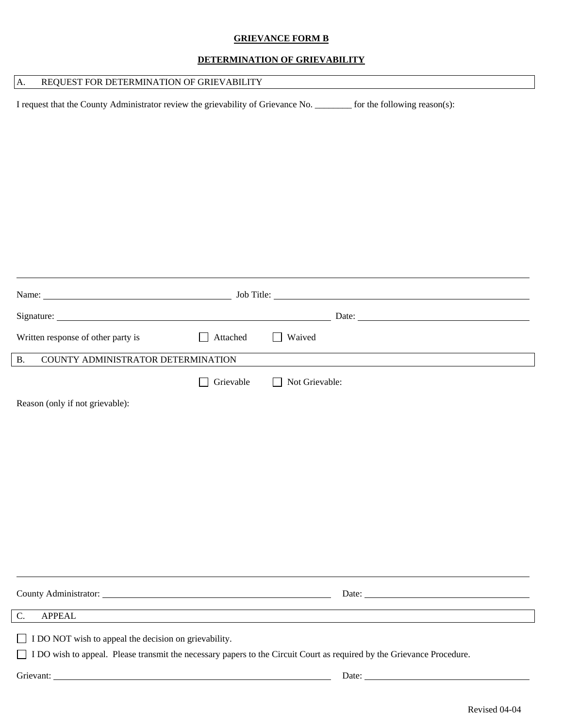#### **GRIEVANCE FORM B**

#### **DETERMINATION OF GRIEVABILITY**

### A. REQUEST FOR DETERMINATION OF GRIEVABILITY

I request that the County Administrator review the grievability of Grievance No. \_\_\_\_\_\_\_\_ for the following reason(s):

| Written response of other party is                    | Attached  | <b>Waived</b>                                                                                                          |  |
|-------------------------------------------------------|-----------|------------------------------------------------------------------------------------------------------------------------|--|
| COUNTY ADMINISTRATOR DETERMINATION<br><b>B.</b>       |           |                                                                                                                        |  |
|                                                       | Grievable | Not Grievable:                                                                                                         |  |
| Reason (only if not grievable):                       |           |                                                                                                                        |  |
|                                                       |           |                                                                                                                        |  |
|                                                       |           |                                                                                                                        |  |
|                                                       |           |                                                                                                                        |  |
|                                                       |           |                                                                                                                        |  |
|                                                       |           |                                                                                                                        |  |
|                                                       |           |                                                                                                                        |  |
|                                                       |           |                                                                                                                        |  |
|                                                       |           |                                                                                                                        |  |
|                                                       |           |                                                                                                                        |  |
| County Administrator: New York County Administrator:  |           |                                                                                                                        |  |
| C.<br><b>APPEAL</b>                                   |           |                                                                                                                        |  |
| I DO NOT wish to appeal the decision on grievability. |           |                                                                                                                        |  |
|                                                       |           | I DO wish to appeal. Please transmit the necessary papers to the Circuit Court as required by the Grievance Procedure. |  |
|                                                       |           |                                                                                                                        |  |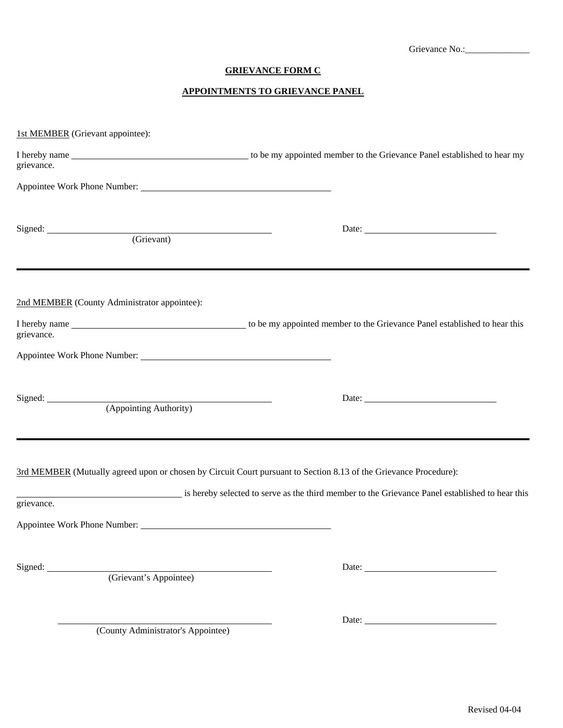Grievance No.:\_\_\_\_\_\_\_\_\_\_\_\_\_\_

### **GRIEVANCE FORM C**

#### **APPOINTMENTS TO GRIEVANCE PANEL**

| 1st MEMBER (Grievant appointee):             |                                                                                                                                                                                                                      |
|----------------------------------------------|----------------------------------------------------------------------------------------------------------------------------------------------------------------------------------------------------------------------|
| grievance.                                   |                                                                                                                                                                                                                      |
|                                              |                                                                                                                                                                                                                      |
| Signed: <u>(Grievant)</u>                    | Date:                                                                                                                                                                                                                |
| 2nd MEMBER (County Administrator appointee): |                                                                                                                                                                                                                      |
| grievance.                                   |                                                                                                                                                                                                                      |
|                                              |                                                                                                                                                                                                                      |
| Signed: <u>(Appointing Authority)</u>        |                                                                                                                                                                                                                      |
| grievance.                                   | 3rd MEMBER (Mutually agreed upon or chosen by Circuit Court pursuant to Section 8.13 of the Grievance Procedure):<br>is hereby selected to serve as the third member to the Grievance Panel established to hear this |
| Appointee Work Phone Number:                 |                                                                                                                                                                                                                      |
| Signed: (Grievant's Appointee)               | Date:                                                                                                                                                                                                                |
| (County Administrator's Appointee)           | Date:                                                                                                                                                                                                                |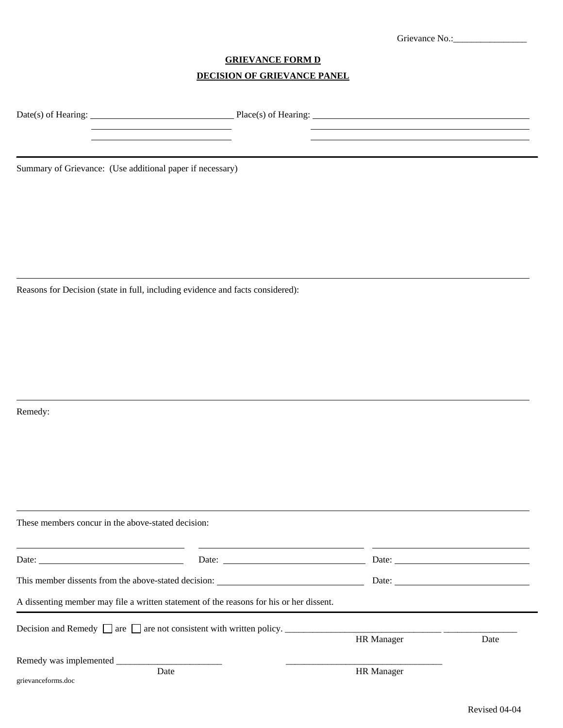| Grievance No<br>. |
|-------------------|
|                   |

<u> 1980 - Johann Barnett, fransk politik (f. 1980)</u>

### **GRIEVANCE FORM D DECISION OF GRIEVANCE PANEL**

Date(s) of Hearing: Place(s) of Hearing: Place(s) of Hearing:

 $\mathbb{R}$ 

Summary of Grievance: (Use additional paper if necessary)

Reasons for Decision (state in full, including evidence and facts considered):

<u>and the state of the state of the state of the state of the state of the state of the state of the state of the state of the state of the state of the state of the state of the state of the state of the state of the state</u>

Remedy:

l

l

l

| These members concur in the above-stated decision:                                                                                                                                                                                                                                                                                                                                                            |                                                                                                                                                                                                                                                                                                                                                                                                                                                   |                   |                                                          |
|---------------------------------------------------------------------------------------------------------------------------------------------------------------------------------------------------------------------------------------------------------------------------------------------------------------------------------------------------------------------------------------------------------------|---------------------------------------------------------------------------------------------------------------------------------------------------------------------------------------------------------------------------------------------------------------------------------------------------------------------------------------------------------------------------------------------------------------------------------------------------|-------------------|----------------------------------------------------------|
| Date: $\frac{1}{\sqrt{1-\frac{1}{2}}\sqrt{1-\frac{1}{2}}\sqrt{1-\frac{1}{2}}\sqrt{1-\frac{1}{2}}\sqrt{1-\frac{1}{2}}\sqrt{1-\frac{1}{2}}\sqrt{1-\frac{1}{2}}\sqrt{1-\frac{1}{2}}\sqrt{1-\frac{1}{2}}\sqrt{1-\frac{1}{2}}\sqrt{1-\frac{1}{2}}\sqrt{1-\frac{1}{2}}\sqrt{1-\frac{1}{2}}\sqrt{1-\frac{1}{2}}\sqrt{1-\frac{1}{2}}\sqrt{1-\frac{1}{2}}\sqrt{1-\frac{1}{2}}\sqrt{1-\frac{1}{2}}\sqrt{1-\frac{1}{2}}$ | Date: $\frac{1}{\sqrt{1-\frac{1}{2}} \cdot \frac{1}{2} \cdot \frac{1}{2} \cdot \frac{1}{2} \cdot \frac{1}{2} \cdot \frac{1}{2} \cdot \frac{1}{2} \cdot \frac{1}{2} \cdot \frac{1}{2} \cdot \frac{1}{2} \cdot \frac{1}{2} \cdot \frac{1}{2} \cdot \frac{1}{2} \cdot \frac{1}{2} \cdot \frac{1}{2} \cdot \frac{1}{2} \cdot \frac{1}{2} \cdot \frac{1}{2} \cdot \frac{1}{2} \cdot \frac{1}{2} \cdot \frac{1}{2} \cdot \frac{1}{2} \cdot \frac{1}{2}$ |                   | Date: $\frac{1}{\sqrt{1-\frac{1}{2}} \cdot \frac{1}{2}}$ |
| This member dissents from the above-stated decision: ____________________________                                                                                                                                                                                                                                                                                                                             |                                                                                                                                                                                                                                                                                                                                                                                                                                                   |                   | Date: $\frac{1}{\sqrt{1-\frac{1}{2}} \cdot \frac{1}{2}}$ |
|                                                                                                                                                                                                                                                                                                                                                                                                               | A dissenting member may file a written statement of the reasons for his or her dissent.                                                                                                                                                                                                                                                                                                                                                           |                   |                                                          |
|                                                                                                                                                                                                                                                                                                                                                                                                               | Decision and Remedy $\Box$ are $\Box$ are not consistent with written policy. $\Box$                                                                                                                                                                                                                                                                                                                                                              | <b>HR</b> Manager | Date                                                     |
| grievanceforms.doc                                                                                                                                                                                                                                                                                                                                                                                            | Date                                                                                                                                                                                                                                                                                                                                                                                                                                              | <b>HR</b> Manager |                                                          |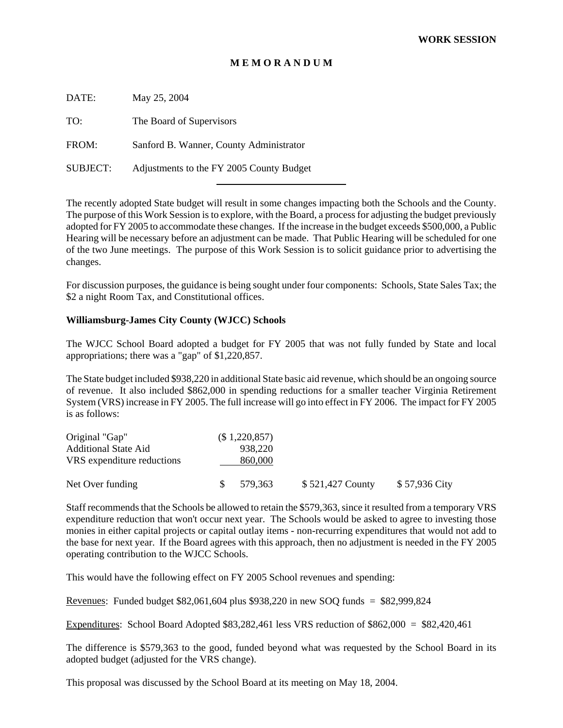#### **M E M O R A N D U M**

DATE: May 25, 2004 TO: The Board of Supervisors

FROM: Sanford B. Wanner, County Administrator

SUBJECT: Adjustments to the FY 2005 County Budget

l

The recently adopted State budget will result in some changes impacting both the Schools and the County. The purpose of this Work Session is to explore, with the Board, a process for adjusting the budget previously adopted for FY 2005 to accommodate these changes. If the increase in the budget exceeds \$500,000, a Public Hearing will be necessary before an adjustment can be made. That Public Hearing will be scheduled for one of the two June meetings. The purpose of this Work Session is to solicit guidance prior to advertising the changes.

For discussion purposes, the guidance is being sought under four components: Schools, State Sales Tax; the \$2 a night Room Tax, and Constitutional offices.

#### **Williamsburg-James City County (WJCC) Schools**

The WJCC School Board adopted a budget for FY 2005 that was not fully funded by State and local appropriations; there was a "gap" of \$1,220,857.

The State budget included \$938,220 in additional State basic aid revenue, which should be an ongoing source of revenue. It also included \$862,000 in spending reductions for a smaller teacher Virginia Retirement System (VRS) increase in FY 2005. The full increase will go into effect in FY 2006. The impact for FY 2005 is as follows:

| Original "Gap"              |     | (\$1,220,857) |                  |               |
|-----------------------------|-----|---------------|------------------|---------------|
| <b>Additional State Aid</b> |     | 938.220       |                  |               |
| VRS expenditure reductions  |     | 860,000       |                  |               |
| Net Over funding            | SS. | 579.363       | \$521,427 County | \$57,936 City |

Staff recommends that the Schools be allowed to retain the \$579,363, since it resulted from a temporary VRS expenditure reduction that won't occur next year. The Schools would be asked to agree to investing those monies in either capital projects or capital outlay items - non-recurring expenditures that would not add to the base for next year. If the Board agrees with this approach, then no adjustment is needed in the FY 2005 operating contribution to the WJCC Schools.

This would have the following effect on FY 2005 School revenues and spending:

Revenues: Funded budget \$82,061,604 plus \$938,220 in new SOQ funds = \$82,999,824

Expenditures: School Board Adopted \$83,282,461 less VRS reduction of \$862,000 = \$82,420,461

The difference is \$579,363 to the good, funded beyond what was requested by the School Board in its adopted budget (adjusted for the VRS change).

This proposal was discussed by the School Board at its meeting on May 18, 2004.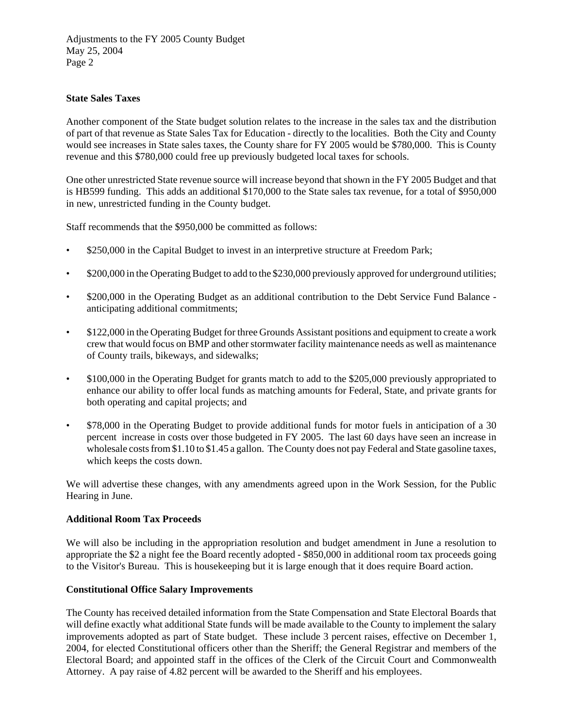Adjustments to the FY 2005 County Budget May 25, 2004 Page 2

### **State Sales Taxes**

Another component of the State budget solution relates to the increase in the sales tax and the distribution of part of that revenue as State Sales Tax for Education - directly to the localities. Both the City and County would see increases in State sales taxes, the County share for FY 2005 would be \$780,000. This is County revenue and this \$780,000 could free up previously budgeted local taxes for schools.

One other unrestricted State revenue source will increase beyond that shown in the FY 2005 Budget and that is HB599 funding. This adds an additional \$170,000 to the State sales tax revenue, for a total of \$950,000 in new, unrestricted funding in the County budget.

Staff recommends that the \$950,000 be committed as follows:

- \$250,000 in the Capital Budget to invest in an interpretive structure at Freedom Park;
- \$200,000 in the Operating Budget to add to the \$230,000 previously approved for underground utilities;
- \$200,000 in the Operating Budget as an additional contribution to the Debt Service Fund Balance anticipating additional commitments;
- \$122,000 in the Operating Budget for three Grounds Assistant positions and equipment to create a work crew that would focus on BMP and other stormwater facility maintenance needs as well as maintenance of County trails, bikeways, and sidewalks;
- \$100,000 in the Operating Budget for grants match to add to the \$205,000 previously appropriated to enhance our ability to offer local funds as matching amounts for Federal, State, and private grants for both operating and capital projects; and
- \$78,000 in the Operating Budget to provide additional funds for motor fuels in anticipation of a 30 percent increase in costs over those budgeted in FY 2005. The last 60 days have seen an increase in wholesale costs from \$1.10 to \$1.45 a gallon. The County does not pay Federal and State gasoline taxes, which keeps the costs down.

We will advertise these changes, with any amendments agreed upon in the Work Session, for the Public Hearing in June.

#### **Additional Room Tax Proceeds**

We will also be including in the appropriation resolution and budget amendment in June a resolution to appropriate the \$2 a night fee the Board recently adopted - \$850,000 in additional room tax proceeds going to the Visitor's Bureau. This is housekeeping but it is large enough that it does require Board action.

#### **Constitutional Office Salary Improvements**

The County has received detailed information from the State Compensation and State Electoral Boards that will define exactly what additional State funds will be made available to the County to implement the salary improvements adopted as part of State budget. These include 3 percent raises, effective on December 1, 2004, for elected Constitutional officers other than the Sheriff; the General Registrar and members of the Electoral Board; and appointed staff in the offices of the Clerk of the Circuit Court and Commonwealth Attorney. A pay raise of 4.82 percent will be awarded to the Sheriff and his employees.